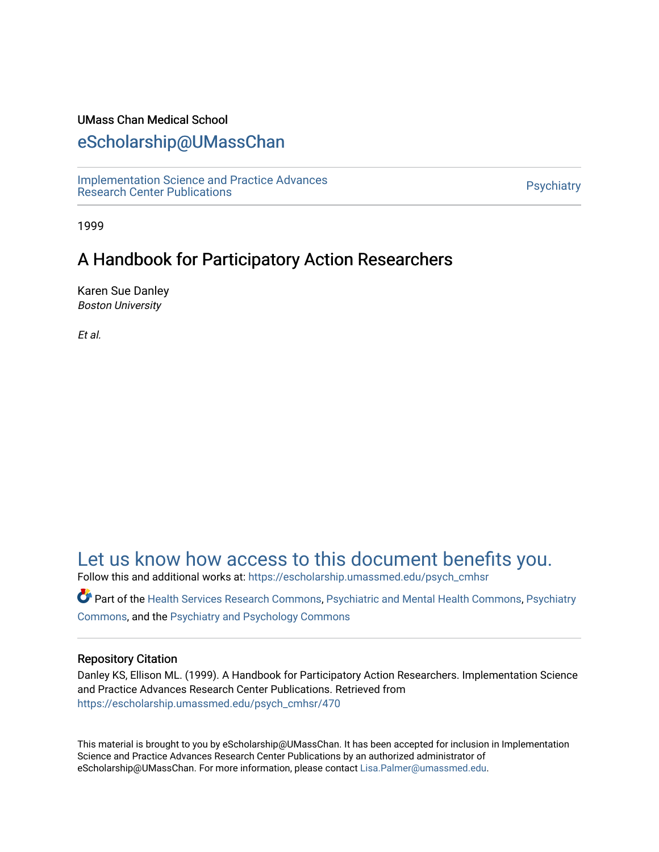# UMass Chan Medical School

# [eScholarship@UMassChan](https://escholarship.umassmed.edu/)

[Implementation Science and Practice Advances](https://escholarship.umassmed.edu/psych_cmhsr)  niplementation science and Practice Advances<br>Research Center Publications

1999

# A Handbook for Participatory Action Researchers

Karen Sue Danley Boston University

Et al.

# [Let us know how access to this document benefits you.](https://arcsapps.umassmed.edu/redcap/surveys/?s=XWRHNF9EJE)

Follow this and additional works at: [https://escholarship.umassmed.edu/psych\\_cmhsr](https://escholarship.umassmed.edu/psych_cmhsr?utm_source=escholarship.umassmed.edu%2Fpsych_cmhsr%2F470&utm_medium=PDF&utm_campaign=PDFCoverPages)

Part of the [Health Services Research Commons,](http://network.bepress.com/hgg/discipline/816?utm_source=escholarship.umassmed.edu%2Fpsych_cmhsr%2F470&utm_medium=PDF&utm_campaign=PDFCoverPages) [Psychiatric and Mental Health Commons,](http://network.bepress.com/hgg/discipline/711?utm_source=escholarship.umassmed.edu%2Fpsych_cmhsr%2F470&utm_medium=PDF&utm_campaign=PDFCoverPages) [Psychiatry](http://network.bepress.com/hgg/discipline/704?utm_source=escholarship.umassmed.edu%2Fpsych_cmhsr%2F470&utm_medium=PDF&utm_campaign=PDFCoverPages) [Commons](http://network.bepress.com/hgg/discipline/704?utm_source=escholarship.umassmed.edu%2Fpsych_cmhsr%2F470&utm_medium=PDF&utm_campaign=PDFCoverPages), and the [Psychiatry and Psychology Commons](http://network.bepress.com/hgg/discipline/908?utm_source=escholarship.umassmed.edu%2Fpsych_cmhsr%2F470&utm_medium=PDF&utm_campaign=PDFCoverPages) 

# Repository Citation

Danley KS, Ellison ML. (1999). A Handbook for Participatory Action Researchers. Implementation Science and Practice Advances Research Center Publications. Retrieved from [https://escholarship.umassmed.edu/psych\\_cmhsr/470](https://escholarship.umassmed.edu/psych_cmhsr/470?utm_source=escholarship.umassmed.edu%2Fpsych_cmhsr%2F470&utm_medium=PDF&utm_campaign=PDFCoverPages)

This material is brought to you by eScholarship@UMassChan. It has been accepted for inclusion in Implementation Science and Practice Advances Research Center Publications by an authorized administrator of eScholarship@UMassChan. For more information, please contact [Lisa.Palmer@umassmed.edu](mailto:Lisa.Palmer@umassmed.edu).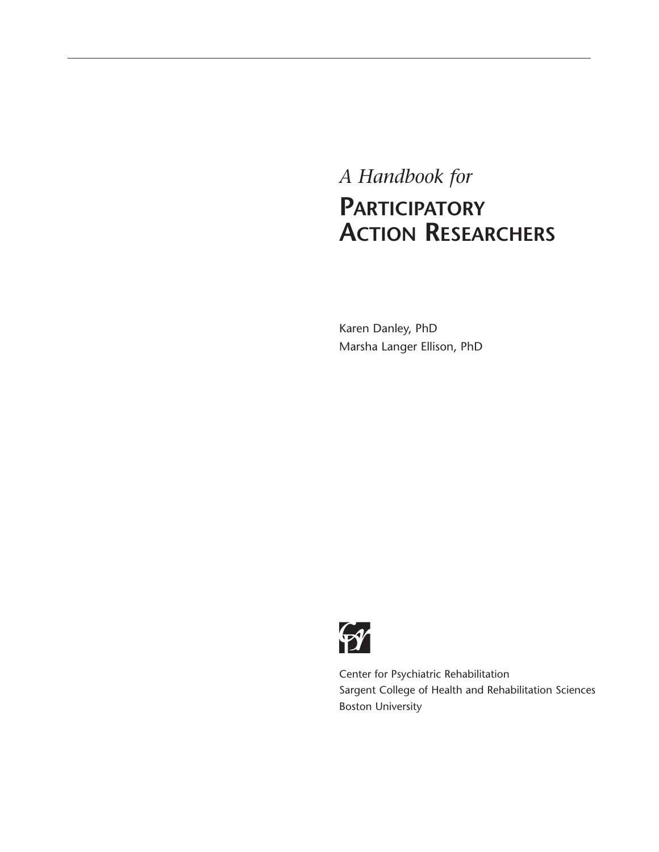# *A Handbook for*  **PARTICIPATORY ACTION RESEARCHERS**

Karen Danley, PhD Marsha Langer Ellison, PhD



Center for Psychiatric Rehabilitation Sargent College of Health and Rehabilitation Sciences Boston University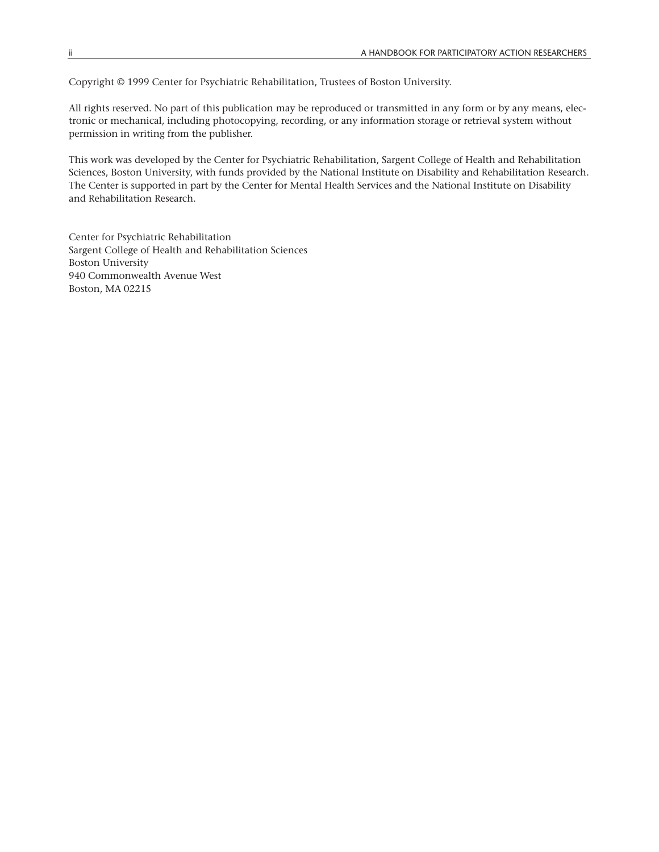Copyright © 1999 Center for Psychiatric Rehabilitation, Trustees of Boston University.

All rights reserved. No part of this publication may be reproduced or transmitted in any form or by any means, electronic or mechanical, including photocopying, recording, or any information storage or retrieval system without permission in writing from the publisher.

This work was developed by the Center for Psychiatric Rehabilitation, Sargent College of Health and Rehabilitation Sciences, Boston University, with funds provided by the National Institute on Disability and Rehabilitation Research. The Center is supported in part by the Center for Mental Health Services and the National Institute on Disability and Rehabilitation Research.

Center for Psychiatric Rehabilitation Sargent College of Health and Rehabilitation Sciences Boston University 940 Commonwealth Avenue West Boston, MA 02215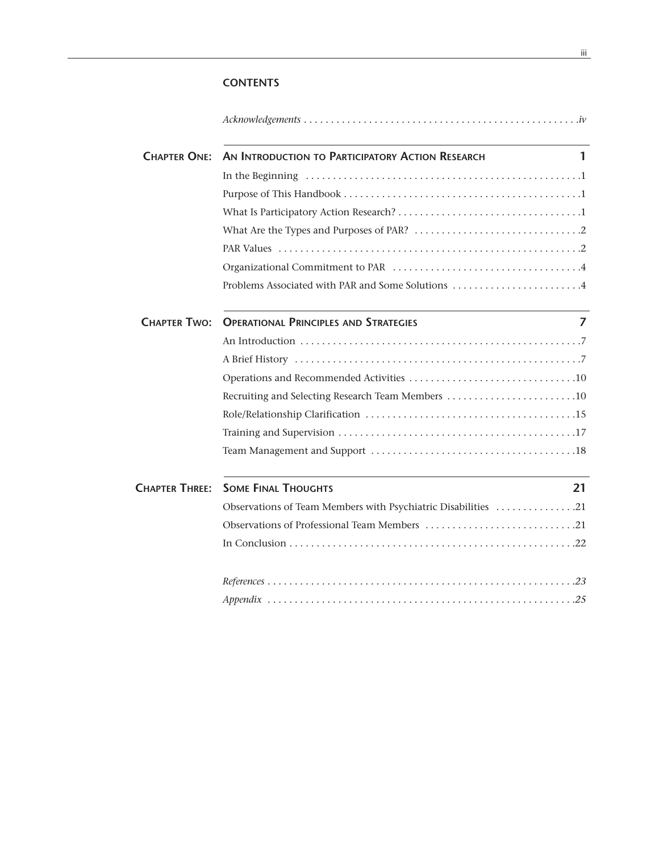# **CONTENTS**

| <b>CHAPTER ONE:</b>   | AN INTRODUCTION TO PARTICIPATORY ACTION RESEARCH<br>1         |
|-----------------------|---------------------------------------------------------------|
|                       |                                                               |
|                       |                                                               |
|                       |                                                               |
|                       |                                                               |
|                       |                                                               |
|                       |                                                               |
|                       | Problems Associated with PAR and Some Solutions 4             |
| <b>CHAPTER TWO:</b>   | 7<br><b>OPERATIONAL PRINCIPLES AND STRATEGIES</b>             |
|                       |                                                               |
|                       |                                                               |
|                       |                                                               |
|                       | Recruiting and Selecting Research Team Members 10             |
|                       |                                                               |
|                       |                                                               |
|                       |                                                               |
| <b>CHAPTER THREE:</b> | <b>SOME FINAL THOUGHTS</b><br>21                              |
|                       | Observations of Team Members with Psychiatric Disabilities 21 |
|                       |                                                               |
|                       |                                                               |
|                       |                                                               |
|                       |                                                               |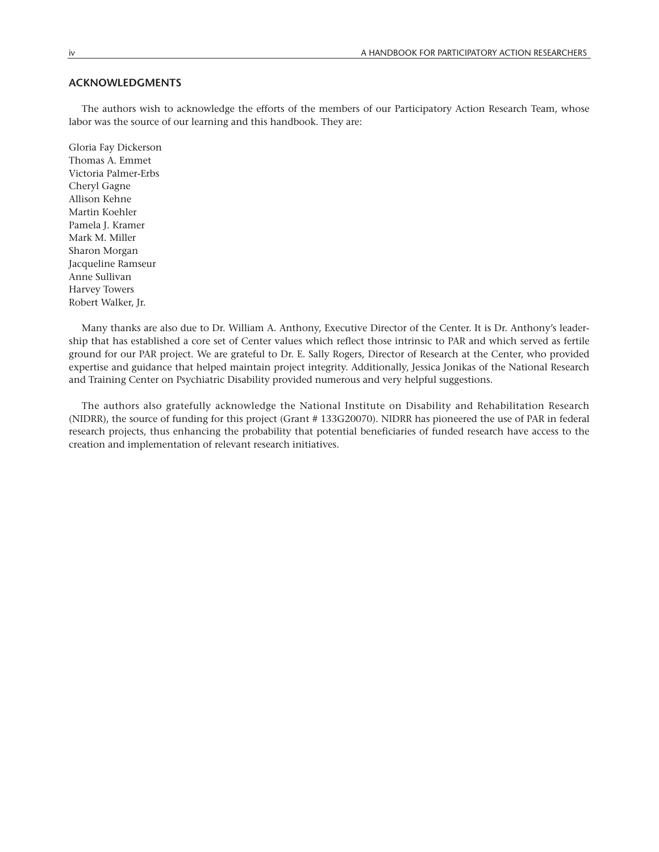# **ACKNOWLEDGMENTS**

The authors wish to acknowledge the efforts of the members of our Participatory Action Research Team, whose labor was the source of our learning and this handbook. They are:

Gloria Fay Dickerson Thomas A. Emmet Victoria Palmer-Erbs Cheryl Gagne Allison Kehne Martin Koehler Pamela J. Kramer Mark M. Miller Sharon Morgan Jacqueline Ramseur Anne Sullivan Harvey Towers Robert Walker, Jr.

Many thanks are also due to Dr. William A. Anthony, Executive Director of the Center. It is Dr. Anthony's leadership that has established a core set of Center values which reflect those intrinsic to PAR and which served as fertile ground for our PAR project. We are grateful to Dr. E. Sally Rogers, Director of Research at the Center, who provided expertise and guidance that helped maintain project integrity. Additionally, Jessica Jonikas of the National Research and Training Center on Psychiatric Disability provided numerous and very helpful suggestions.

The authors also gratefully acknowledge the National Institute on Disability and Rehabilitation Research (NIDRR), the source of funding for this project (Grant # 133G20070). NIDRR has pioneered the use of PAR in federal research projects, thus enhancing the probability that potential beneficiaries of funded research have access to the creation and implementation of relevant research initiatives.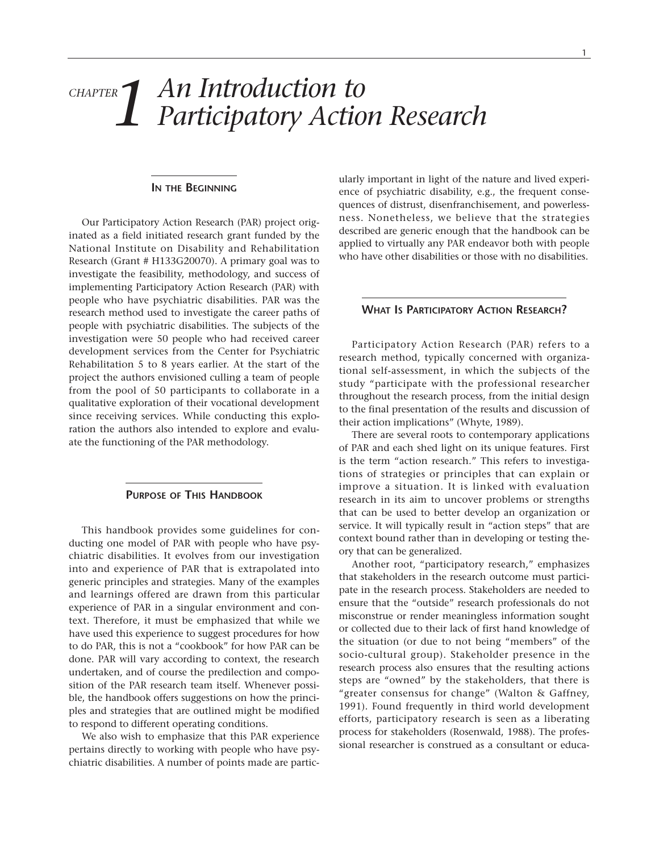# *An Introduction to Participatory Action Research CHAPTER 1*

#### **IN THE BEGINNING**

Our Participatory Action Research (PAR) project originated as a field initiated research grant funded by the National Institute on Disability and Rehabilitation Research (Grant # H133G20070). A primary goal was to investigate the feasibility, methodology, and success of implementing Participatory Action Research (PAR) with people who have psychiatric disabilities. PAR was the research method used to investigate the career paths of people with psychiatric disabilities. The subjects of the investigation were 50 people who had received career development services from the Center for Psychiatric Rehabilitation 5 to 8 years earlier. At the start of the project the authors envisioned culling a team of people from the pool of 50 participants to collaborate in a qualitative exploration of their vocational development since receiving services. While conducting this exploration the authors also intended to explore and evaluate the functioning of the PAR methodology.

# **PURPOSE OF THIS HANDBOOK**

This handbook provides some guidelines for conducting one model of PAR with people who have psychiatric disabilities. It evolves from our investigation into and experience of PAR that is extrapolated into generic principles and strategies. Many of the examples and learnings offered are drawn from this particular experience of PAR in a singular environment and context. Therefore, it must be emphasized that while we have used this experience to suggest procedures for how to do PAR, this is not a "cookbook" for how PAR can be done. PAR will vary according to context, the research undertaken, and of course the predilection and composition of the PAR research team itself. Whenever possible, the handbook offers suggestions on how the principles and strategies that are outlined might be modified to respond to different operating conditions.

We also wish to emphasize that this PAR experience pertains directly to working with people who have psychiatric disabilities. A number of points made are particularly important in light of the nature and lived experience of psychiatric disability, e.g., the frequent consequences of distrust, disenfranchisement, and powerlessness. Nonetheless, we believe that the strategies described are generic enough that the handbook can be applied to virtually any PAR endeavor both with people who have other disabilities or those with no disabilities.

## **WHAT IS PARTICIPATORY ACTION RESEARCH?**

Participatory Action Research (PAR) refers to a research method, typically concerned with organizational self-assessment, in which the subjects of the study "participate with the professional researcher throughout the research process, from the initial design to the final presentation of the results and discussion of their action implications" (Whyte, 1989).

There are several roots to contemporary applications of PAR and each shed light on its unique features. First is the term "action research." This refers to investigations of strategies or principles that can explain or improve a situation. It is linked with evaluation research in its aim to uncover problems or strengths that can be used to better develop an organization or service. It will typically result in "action steps" that are context bound rather than in developing or testing theory that can be generalized.

Another root, "participatory research," emphasizes that stakeholders in the research outcome must participate in the research process. Stakeholders are needed to ensure that the "outside" research professionals do not misconstrue or render meaningless information sought or collected due to their lack of first hand knowledge of the situation (or due to not being "members" of the socio-cultural group). Stakeholder presence in the research process also ensures that the resulting actions steps are "owned" by the stakeholders, that there is "greater consensus for change" (Walton & Gaffney, 1991). Found frequently in third world development efforts, participatory research is seen as a liberating process for stakeholders (Rosenwald, 1988). The professional researcher is construed as a consultant or educa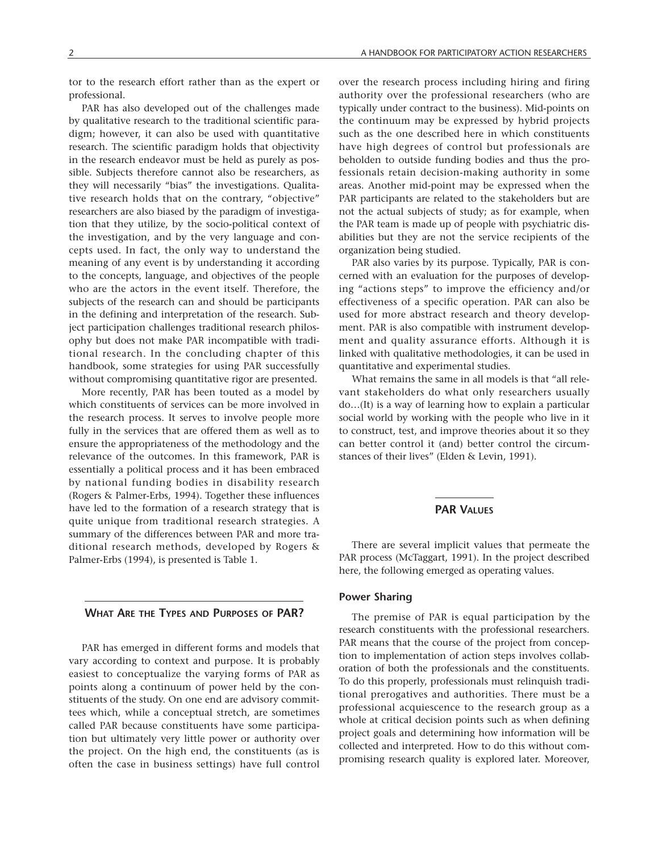tor to the research effort rather than as the expert or professional.

PAR has also developed out of the challenges made by qualitative research to the traditional scientific paradigm; however, it can also be used with quantitative research. The scientific paradigm holds that objectivity in the research endeavor must be held as purely as possible. Subjects therefore cannot also be researchers, as they will necessarily "bias" the investigations. Qualitative research holds that on the contrary, "objective" researchers are also biased by the paradigm of investigation that they utilize, by the socio-political context of the investigation, and by the very language and concepts used. In fact, the only way to understand the meaning of any event is by understanding it according to the concepts, language, and objectives of the people who are the actors in the event itself. Therefore, the subjects of the research can and should be participants in the defining and interpretation of the research. Subject participation challenges traditional research philosophy but does not make PAR incompatible with traditional research. In the concluding chapter of this handbook, some strategies for using PAR successfully without compromising quantitative rigor are presented.

More recently, PAR has been touted as a model by which constituents of services can be more involved in the research process. It serves to involve people more fully in the services that are offered them as well as to ensure the appropriateness of the methodology and the relevance of the outcomes. In this framework, PAR is essentially a political process and it has been embraced by national funding bodies in disability research (Rogers & Palmer-Erbs, 1994). Together these influences have led to the formation of a research strategy that is quite unique from traditional research strategies. A summary of the differences between PAR and more traditional research methods, developed by Rogers & Palmer-Erbs (1994), is presented is Table 1.

#### **WHAT ARE THE TYPES AND PURPOSES OF PAR?**

PAR has emerged in different forms and models that vary according to context and purpose. It is probably easiest to conceptualize the varying forms of PAR as points along a continuum of power held by the constituents of the study. On one end are advisory committees which, while a conceptual stretch, are sometimes called PAR because constituents have some participation but ultimately very little power or authority over the project. On the high end, the constituents (as is often the case in business settings) have full control

over the research process including hiring and firing authority over the professional researchers (who are typically under contract to the business). Mid-points on the continuum may be expressed by hybrid projects such as the one described here in which constituents have high degrees of control but professionals are beholden to outside funding bodies and thus the professionals retain decision-making authority in some areas. Another mid-point may be expressed when the PAR participants are related to the stakeholders but are not the actual subjects of study; as for example, when the PAR team is made up of people with psychiatric disabilities but they are not the service recipients of the organization being studied.

PAR also varies by its purpose. Typically, PAR is concerned with an evaluation for the purposes of developing "actions steps" to improve the efficiency and/or effectiveness of a specific operation. PAR can also be used for more abstract research and theory development. PAR is also compatible with instrument development and quality assurance efforts. Although it is linked with qualitative methodologies, it can be used in quantitative and experimental studies.

What remains the same in all models is that "all relevant stakeholders do what only researchers usually do…(It) is a way of learning how to explain a particular social world by working with the people who live in it to construct, test, and improve theories about it so they can better control it (and) better control the circumstances of their lives" (Elden & Levin, 1991).

# **PAR VALUES**

There are several implicit values that permeate the PAR process (McTaggart, 1991). In the project described here, the following emerged as operating values.

#### **Power Sharing**

The premise of PAR is equal participation by the research constituents with the professional researchers. PAR means that the course of the project from conception to implementation of action steps involves collaboration of both the professionals and the constituents. To do this properly, professionals must relinquish traditional prerogatives and authorities. There must be a professional acquiescence to the research group as a whole at critical decision points such as when defining project goals and determining how information will be collected and interpreted. How to do this without compromising research quality is explored later. Moreover,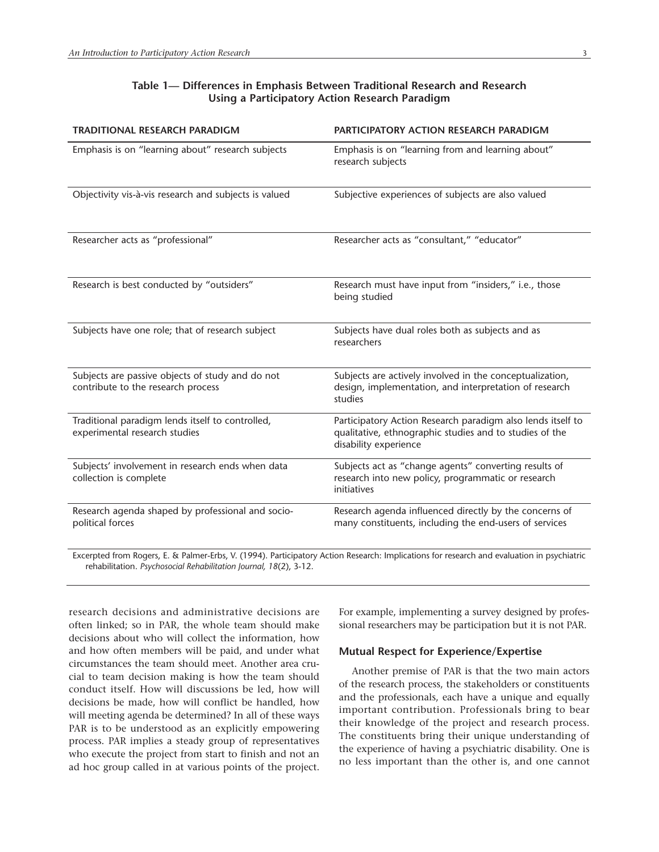# **Table 1— Differences in Emphasis Between Traditional Research and Research Using a Participatory Action Research Paradigm**

| <b>TRADITIONAL RESEARCH PARADIGM</b>                                                                                                                         | PARTICIPATORY ACTION RESEARCH PARADIGM                                                                                                          |  |  |
|--------------------------------------------------------------------------------------------------------------------------------------------------------------|-------------------------------------------------------------------------------------------------------------------------------------------------|--|--|
| Emphasis is on "learning about" research subjects                                                                                                            | Emphasis is on "learning from and learning about"<br>research subjects                                                                          |  |  |
| Objectivity vis-à-vis research and subjects is valued                                                                                                        | Subjective experiences of subjects are also valued                                                                                              |  |  |
| Researcher acts as "professional"                                                                                                                            | Researcher acts as "consultant," "educator"                                                                                                     |  |  |
| Research is best conducted by "outsiders"                                                                                                                    | Research must have input from "insiders," i.e., those<br>being studied                                                                          |  |  |
| Subjects have one role; that of research subject                                                                                                             | Subjects have dual roles both as subjects and as<br>researchers                                                                                 |  |  |
| Subjects are passive objects of study and do not<br>contribute to the research process                                                                       | Subjects are actively involved in the conceptualization,<br>design, implementation, and interpretation of research<br>studies                   |  |  |
| Traditional paradigm lends itself to controlled,<br>experimental research studies                                                                            | Participatory Action Research paradigm also lends itself to<br>qualitative, ethnographic studies and to studies of the<br>disability experience |  |  |
| Subjects' involvement in research ends when data<br>collection is complete                                                                                   | Subjects act as "change agents" converting results of<br>research into new policy, programmatic or research<br>initiatives                      |  |  |
| Research agenda shaped by professional and socio-<br>political forces                                                                                        | Research agenda influenced directly by the concerns of<br>many constituents, including the end-users of services                                |  |  |
| $t_{\text{total}}$ from $D_{\text{total}}$ $E_{\text{total}}$ $E_{\text{total}}$ $E_{\text{total}}$ $E_{\text{total}}$ $E_{\text{total}}$ $E_{\text{total}}$ | an Discourse to the affident and four                                                                                                           |  |  |

Excerpted from Rogers, E. & Palmer-Erbs, V. (1994). Participatory Action Research: Implications for research and evaluation in psychiatric rehabilitation. *Psychosocial Rehabilitation Journal, 18*(2), 3-12.

research decisions and administrative decisions are often linked; so in PAR, the whole team should make decisions about who will collect the information, how and how often members will be paid, and under what circumstances the team should meet. Another area crucial to team decision making is how the team should conduct itself. How will discussions be led, how will decisions be made, how will conflict be handled, how will meeting agenda be determined? In all of these ways PAR is to be understood as an explicitly empowering process. PAR implies a steady group of representatives who execute the project from start to finish and not an ad hoc group called in at various points of the project. For example, implementing a survey designed by professional researchers may be participation but it is not PAR.

#### **Mutual Respect for Experience/Expertise**

Another premise of PAR is that the two main actors of the research process, the stakeholders or constituents and the professionals, each have a unique and equally important contribution. Professionals bring to bear their knowledge of the project and research process. The constituents bring their unique understanding of the experience of having a psychiatric disability. One is no less important than the other is, and one cannot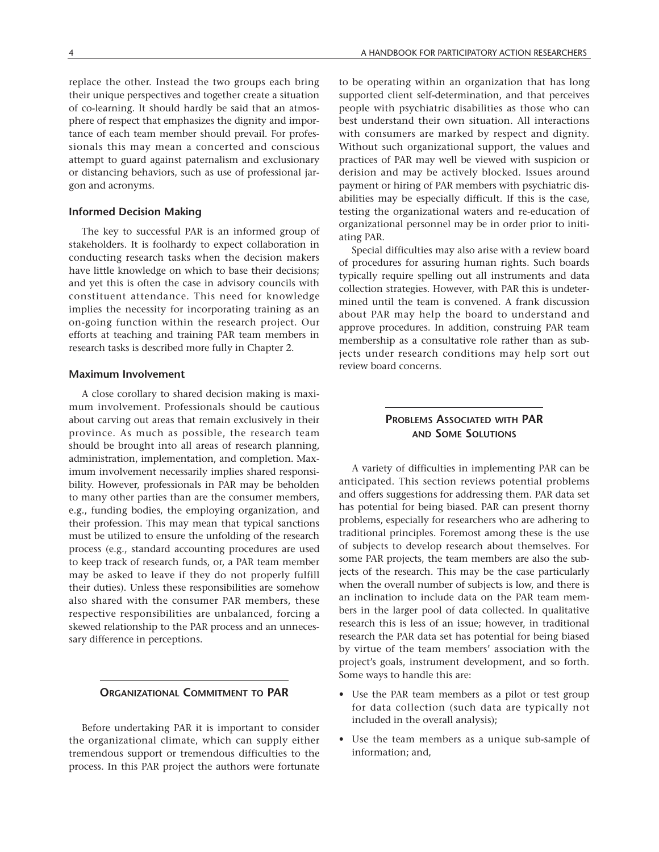replace the other. Instead the two groups each bring their unique perspectives and together create a situation of co-learning. It should hardly be said that an atmosphere of respect that emphasizes the dignity and importance of each team member should prevail. For professionals this may mean a concerted and conscious attempt to guard against paternalism and exclusionary or distancing behaviors, such as use of professional jargon and acronyms.

#### **Informed Decision Making**

The key to successful PAR is an informed group of stakeholders. It is foolhardy to expect collaboration in conducting research tasks when the decision makers have little knowledge on which to base their decisions; and yet this is often the case in advisory councils with constituent attendance. This need for knowledge implies the necessity for incorporating training as an on-going function within the research project. Our efforts at teaching and training PAR team members in research tasks is described more fully in Chapter 2.

#### **Maximum Involvement**

A close corollary to shared decision making is maximum involvement. Professionals should be cautious about carving out areas that remain exclusively in their province. As much as possible, the research team should be brought into all areas of research planning, administration, implementation, and completion. Maximum involvement necessarily implies shared responsibility. However, professionals in PAR may be beholden to many other parties than are the consumer members, e.g., funding bodies, the employing organization, and their profession. This may mean that typical sanctions must be utilized to ensure the unfolding of the research process (e.g., standard accounting procedures are used to keep track of research funds, or, a PAR team member may be asked to leave if they do not properly fulfill their duties). Unless these responsibilities are somehow also shared with the consumer PAR members, these respective responsibilities are unbalanced, forcing a skewed relationship to the PAR process and an unnecessary difference in perceptions.

## **ORGANIZATIONAL COMMITMENT TO PAR**

Before undertaking PAR it is important to consider the organizational climate, which can supply either tremendous support or tremendous difficulties to the process. In this PAR project the authors were fortunate to be operating within an organization that has long supported client self-determination, and that perceives people with psychiatric disabilities as those who can best understand their own situation. All interactions with consumers are marked by respect and dignity. Without such organizational support, the values and practices of PAR may well be viewed with suspicion or derision and may be actively blocked. Issues around payment or hiring of PAR members with psychiatric disabilities may be especially difficult. If this is the case, testing the organizational waters and re-education of organizational personnel may be in order prior to initiating PAR.

Special difficulties may also arise with a review board of procedures for assuring human rights. Such boards typically require spelling out all instruments and data collection strategies. However, with PAR this is undetermined until the team is convened. A frank discussion about PAR may help the board to understand and approve procedures. In addition, construing PAR team membership as a consultative role rather than as subjects under research conditions may help sort out review board concerns.

# **PROBLEMS ASSOCIATED WITH PAR AND SOME SOLUTIONS**

A variety of difficulties in implementing PAR can be anticipated. This section reviews potential problems and offers suggestions for addressing them. PAR data set has potential for being biased. PAR can present thorny problems, especially for researchers who are adhering to traditional principles. Foremost among these is the use of subjects to develop research about themselves. For some PAR projects, the team members are also the subjects of the research. This may be the case particularly when the overall number of subjects is low, and there is an inclination to include data on the PAR team members in the larger pool of data collected. In qualitative research this is less of an issue; however, in traditional research the PAR data set has potential for being biased by virtue of the team members' association with the project's goals, instrument development, and so forth. Some ways to handle this are:

- Use the PAR team members as a pilot or test group for data collection (such data are typically not included in the overall analysis);
- Use the team members as a unique sub-sample of information; and,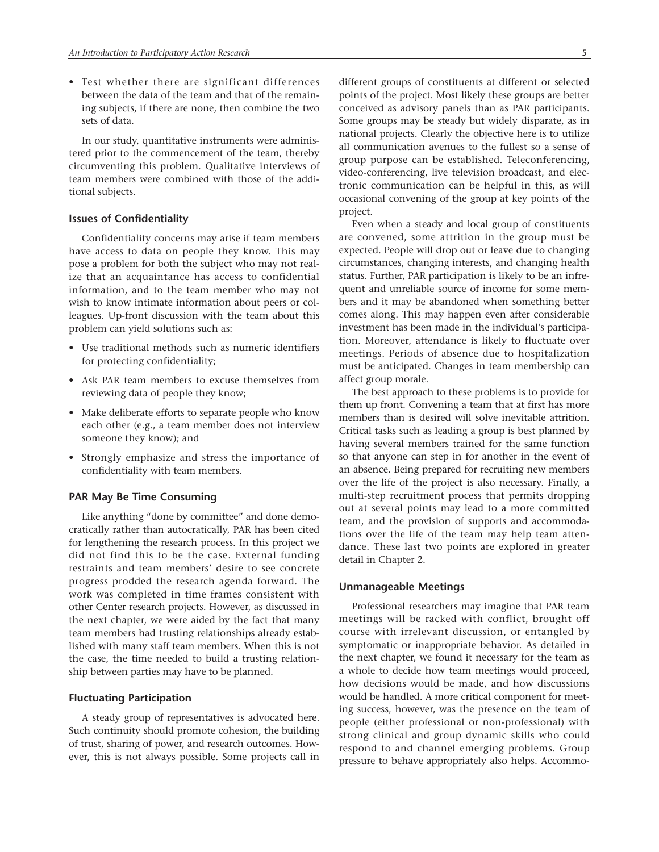• Test whether there are significant differences between the data of the team and that of the remaining subjects, if there are none, then combine the two sets of data.

In our study, quantitative instruments were administered prior to the commencement of the team, thereby circumventing this problem. Qualitative interviews of team members were combined with those of the additional subjects.

#### **Issues of Confidentiality**

Confidentiality concerns may arise if team members have access to data on people they know. This may pose a problem for both the subject who may not realize that an acquaintance has access to confidential information, and to the team member who may not wish to know intimate information about peers or colleagues. Up-front discussion with the team about this problem can yield solutions such as:

- Use traditional methods such as numeric identifiers for protecting confidentiality;
- Ask PAR team members to excuse themselves from reviewing data of people they know;
- Make deliberate efforts to separate people who know each other (e.g., a team member does not interview someone they know); and
- Strongly emphasize and stress the importance of confidentiality with team members.

#### **PAR May Be Time Consuming**

Like anything "done by committee" and done democratically rather than autocratically, PAR has been cited for lengthening the research process. In this project we did not find this to be the case. External funding restraints and team members' desire to see concrete progress prodded the research agenda forward. The work was completed in time frames consistent with other Center research projects. However, as discussed in the next chapter, we were aided by the fact that many team members had trusting relationships already established with many staff team members. When this is not the case, the time needed to build a trusting relationship between parties may have to be planned.

#### **Fluctuating Participation**

A steady group of representatives is advocated here. Such continuity should promote cohesion, the building of trust, sharing of power, and research outcomes. However, this is not always possible. Some projects call in different groups of constituents at different or selected points of the project. Most likely these groups are better conceived as advisory panels than as PAR participants. Some groups may be steady but widely disparate, as in national projects. Clearly the objective here is to utilize all communication avenues to the fullest so a sense of group purpose can be established. Teleconferencing, video-conferencing, live television broadcast, and electronic communication can be helpful in this, as will occasional convening of the group at key points of the project.

Even when a steady and local group of constituents are convened, some attrition in the group must be expected. People will drop out or leave due to changing circumstances, changing interests, and changing health status. Further, PAR participation is likely to be an infrequent and unreliable source of income for some members and it may be abandoned when something better comes along. This may happen even after considerable investment has been made in the individual's participation. Moreover, attendance is likely to fluctuate over meetings. Periods of absence due to hospitalization must be anticipated. Changes in team membership can affect group morale.

The best approach to these problems is to provide for them up front. Convening a team that at first has more members than is desired will solve inevitable attrition. Critical tasks such as leading a group is best planned by having several members trained for the same function so that anyone can step in for another in the event of an absence. Being prepared for recruiting new members over the life of the project is also necessary. Finally, a multi-step recruitment process that permits dropping out at several points may lead to a more committed team, and the provision of supports and accommodations over the life of the team may help team attendance. These last two points are explored in greater detail in Chapter 2.

#### **Unmanageable Meetings**

Professional researchers may imagine that PAR team meetings will be racked with conflict, brought off course with irrelevant discussion, or entangled by symptomatic or inappropriate behavior. As detailed in the next chapter, we found it necessary for the team as a whole to decide how team meetings would proceed, how decisions would be made, and how discussions would be handled. A more critical component for meeting success, however, was the presence on the team of people (either professional or non-professional) with strong clinical and group dynamic skills who could respond to and channel emerging problems. Group pressure to behave appropriately also helps. Accommo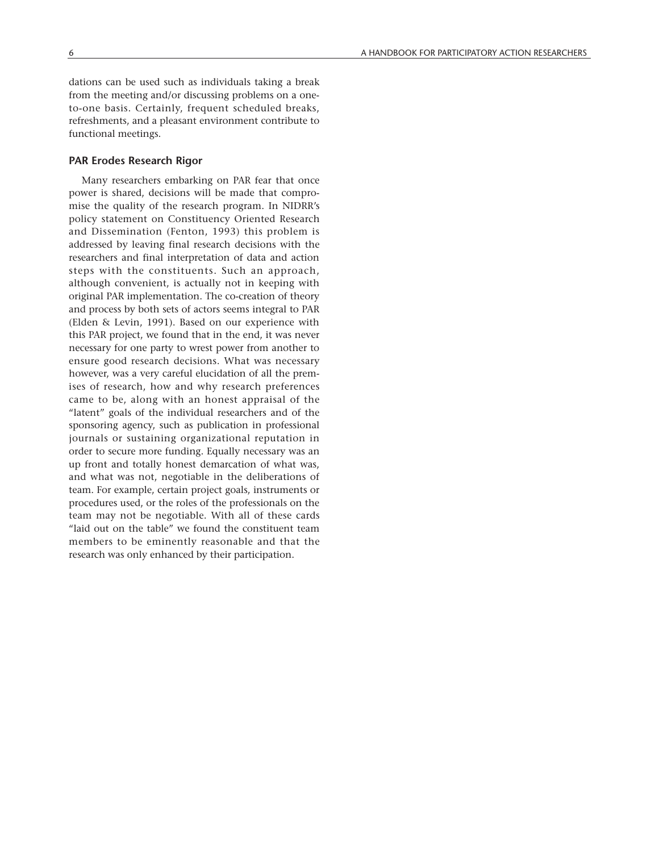dations can be used such as individuals taking a break from the meeting and/or discussing problems on a oneto-one basis. Certainly, frequent scheduled breaks, refreshments, and a pleasant environment contribute to functional meetings.

#### **PAR Erodes Research Rigor**

Many researchers embarking on PAR fear that once power is shared, decisions will be made that compromise the quality of the research program. In NIDRR's policy statement on Constituency Oriented Research and Dissemination (Fenton, 1993) this problem is addressed by leaving final research decisions with the researchers and final interpretation of data and action steps with the constituents. Such an approach, although convenient, is actually not in keeping with original PAR implementation. The co-creation of theory and process by both sets of actors seems integral to PAR (Elden & Levin, 1991). Based on our experience with this PAR project, we found that in the end, it was never necessary for one party to wrest power from another to ensure good research decisions. What was necessary however, was a very careful elucidation of all the premises of research, how and why research preferences came to be, along with an honest appraisal of the "latent" goals of the individual researchers and of the sponsoring agency, such as publication in professional journals or sustaining organizational reputation in order to secure more funding. Equally necessary was an up front and totally honest demarcation of what was, and what was not, negotiable in the deliberations of team. For example, certain project goals, instruments or procedures used, or the roles of the professionals on the team may not be negotiable. With all of these cards "laid out on the table" we found the constituent team members to be eminently reasonable and that the research was only enhanced by their participation.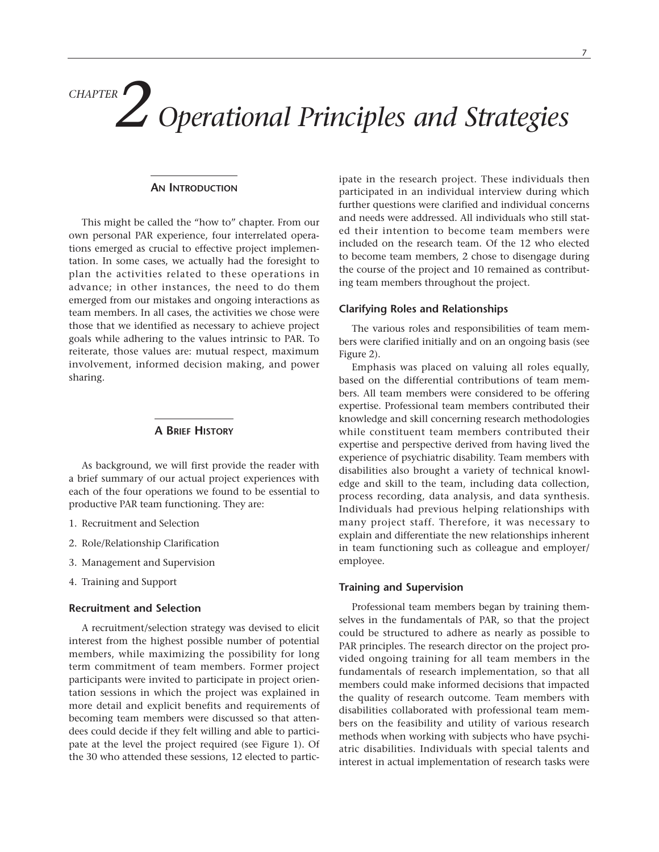# *Operational Principles and Strategies CHAPTER 2*

#### **AN INTRODUCTION**

This might be called the "how to" chapter. From our own personal PAR experience, four interrelated operations emerged as crucial to effective project implementation. In some cases, we actually had the foresight to plan the activities related to these operations in advance; in other instances, the need to do them emerged from our mistakes and ongoing interactions as team members. In all cases, the activities we chose were those that we identified as necessary to achieve project goals while adhering to the values intrinsic to PAR. To reiterate, those values are: mutual respect, maximum involvement, informed decision making, and power sharing.

#### **A BRIEF HISTORY**

As background, we will first provide the reader with a brief summary of our actual project experiences with each of the four operations we found to be essential to productive PAR team functioning. They are:

- 1. Recruitment and Selection
- 2. Role/Relationship Clarification
- 3. Management and Supervision
- 4. Training and Support

#### **Recruitment and Selection**

A recruitment/selection strategy was devised to elicit interest from the highest possible number of potential members, while maximizing the possibility for long term commitment of team members. Former project participants were invited to participate in project orientation sessions in which the project was explained in more detail and explicit benefits and requirements of becoming team members were discussed so that attendees could decide if they felt willing and able to participate at the level the project required (see Figure 1). Of the 30 who attended these sessions, 12 elected to participate in the research project. These individuals then participated in an individual interview during which further questions were clarified and individual concerns and needs were addressed. All individuals who still stated their intention to become team members were included on the research team. Of the 12 who elected to become team members, 2 chose to disengage during the course of the project and 10 remained as contributing team members throughout the project.

#### **Clarifying Roles and Relationships**

The various roles and responsibilities of team members were clarified initially and on an ongoing basis (see Figure 2).

Emphasis was placed on valuing all roles equally, based on the differential contributions of team members. All team members were considered to be offering expertise. Professional team members contributed their knowledge and skill concerning research methodologies while constituent team members contributed their expertise and perspective derived from having lived the experience of psychiatric disability. Team members with disabilities also brought a variety of technical knowledge and skill to the team, including data collection, process recording, data analysis, and data synthesis. Individuals had previous helping relationships with many project staff. Therefore, it was necessary to explain and differentiate the new relationships inherent in team functioning such as colleague and employer/ employee.

#### **Training and Supervision**

Professional team members began by training themselves in the fundamentals of PAR, so that the project could be structured to adhere as nearly as possible to PAR principles. The research director on the project provided ongoing training for all team members in the fundamentals of research implementation, so that all members could make informed decisions that impacted the quality of research outcome. Team members with disabilities collaborated with professional team members on the feasibility and utility of various research methods when working with subjects who have psychiatric disabilities. Individuals with special talents and interest in actual implementation of research tasks were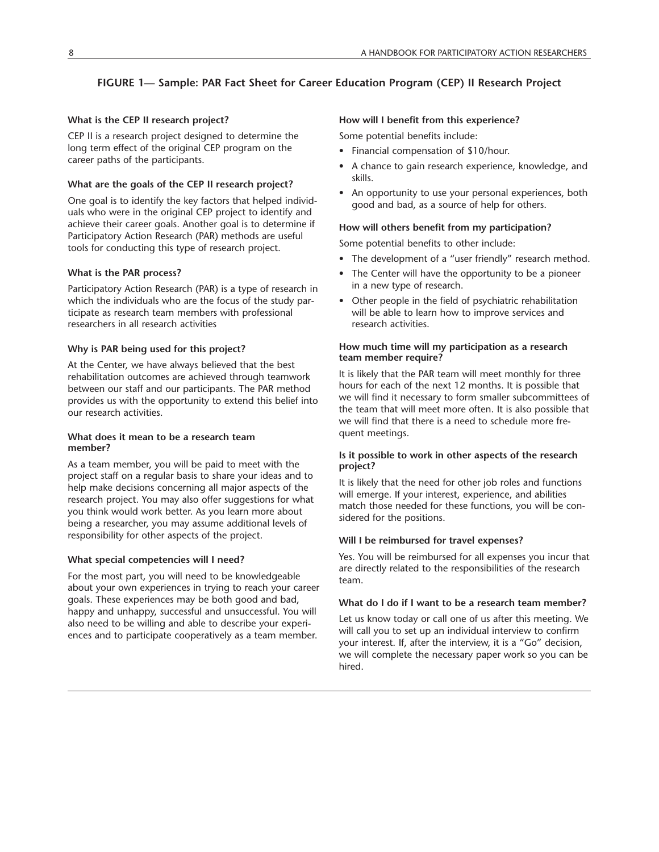# **FIGURE 1— Sample: PAR Fact Sheet for Career Education Program (CEP) II Research Project**

## **What is the CEP II research project?**

CEP II is a research project designed to determine the long term effect of the original CEP program on the career paths of the participants.

### **What are the goals of the CEP II research project?**

One goal is to identify the key factors that helped individuals who were in the original CEP project to identify and achieve their career goals. Another goal is to determine if Participatory Action Research (PAR) methods are useful tools for conducting this type of research project.

# **What is the PAR process?**

Participatory Action Research (PAR) is a type of research in which the individuals who are the focus of the study participate as research team members with professional researchers in all research activities

### **Why is PAR being used for this project?**

At the Center, we have always believed that the best rehabilitation outcomes are achieved through teamwork between our staff and our participants. The PAR method provides us with the opportunity to extend this belief into our research activities.

#### **What does it mean to be a research team member?**

As a team member, you will be paid to meet with the project staff on a regular basis to share your ideas and to help make decisions concerning all major aspects of the research project. You may also offer suggestions for what you think would work better. As you learn more about being a researcher, you may assume additional levels of responsibility for other aspects of the project.

### **What special competencies will I need?**

For the most part, you will need to be knowledgeable about your own experiences in trying to reach your career goals. These experiences may be both good and bad, happy and unhappy, successful and unsuccessful. You will also need to be willing and able to describe your experiences and to participate cooperatively as a team member.

## **How will I benefit from this experience?**

Some potential benefits include:

- Financial compensation of \$10/hour.
- A chance to gain research experience, knowledge, and skills.
- An opportunity to use your personal experiences, both good and bad, as a source of help for others.

### **How will others benefit from my participation?**

Some potential benefits to other include:

- The development of a "user friendly" research method.
- The Center will have the opportunity to be a pioneer in a new type of research.
- Other people in the field of psychiatric rehabilitation will be able to learn how to improve services and research activities.

#### **How much time will my participation as a research team member require?**

It is likely that the PAR team will meet monthly for three hours for each of the next 12 months. It is possible that we will find it necessary to form smaller subcommittees of the team that will meet more often. It is also possible that we will find that there is a need to schedule more frequent meetings.

### **Is it possible to work in other aspects of the research project?**

It is likely that the need for other job roles and functions will emerge. If your interest, experience, and abilities match those needed for these functions, you will be considered for the positions.

### **Will I be reimbursed for travel expenses?**

Yes. You will be reimbursed for all expenses you incur that are directly related to the responsibilities of the research team.

#### **What do I do if I want to be a research team member?**

Let us know today or call one of us after this meeting. We will call you to set up an individual interview to confirm your interest. If, after the interview, it is a "Go" decision, we will complete the necessary paper work so you can be hired.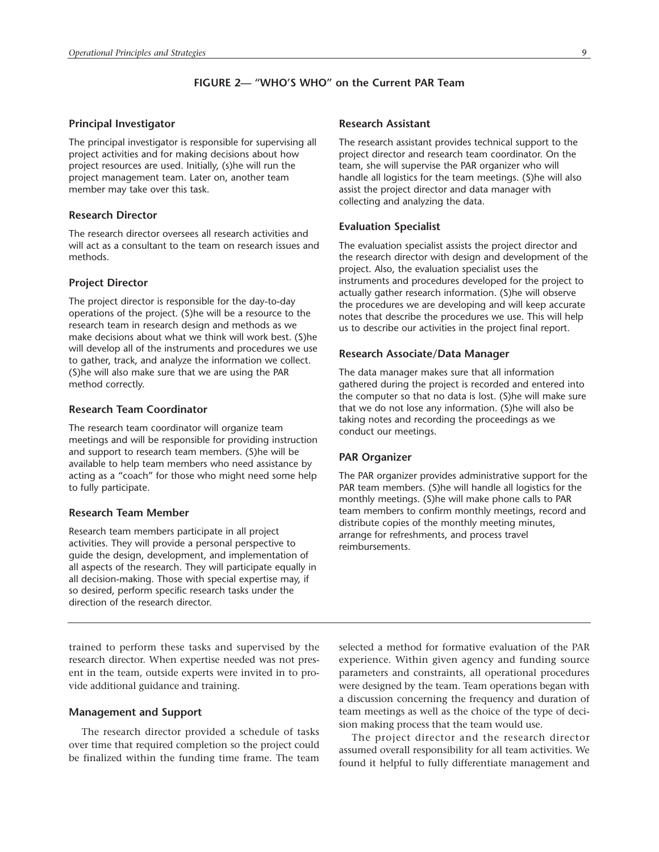# **FIGURE 2— "WHO'S WHO" on the Current PAR Team**

#### **Principal Investigator**

The principal investigator is responsible for supervising all project activities and for making decisions about how project resources are used. Initially, (s)he will run the project management team. Later on, another team member may take over this task.

#### **Research Director**

The research director oversees all research activities and will act as a consultant to the team on research issues and methods.

#### **Project Director**

The project director is responsible for the day-to-day operations of the project. (S)he will be a resource to the research team in research design and methods as we make decisions about what we think will work best. (S)he will develop all of the instruments and procedures we use to gather, track, and analyze the information we collect. (S)he will also make sure that we are using the PAR method correctly.

#### **Research Team Coordinator**

The research team coordinator will organize team meetings and will be responsible for providing instruction and support to research team members. (S)he will be available to help team members who need assistance by acting as a "coach" for those who might need some help to fully participate.

#### **Research Team Member**

Research team members participate in all project activities. They will provide a personal perspective to guide the design, development, and implementation of all aspects of the research. They will participate equally in all decision-making. Those with special expertise may, if so desired, perform specific research tasks under the direction of the research director.

**Research Assistant**

The research assistant provides technical support to the project director and research team coordinator. On the team, she will supervise the PAR organizer who will handle all logistics for the team meetings. (S)he will also assist the project director and data manager with collecting and analyzing the data.

#### **Evaluation Specialist**

The evaluation specialist assists the project director and the research director with design and development of the project. Also, the evaluation specialist uses the instruments and procedures developed for the project to actually gather research information. (S)he will observe the procedures we are developing and will keep accurate notes that describe the procedures we use. This will help us to describe our activities in the project final report.

#### **Research Associate/Data Manager**

The data manager makes sure that all information gathered during the project is recorded and entered into the computer so that no data is lost. (S)he will make sure that we do not lose any information. (S)he will also be taking notes and recording the proceedings as we conduct our meetings.

#### **PAR Organizer**

The PAR organizer provides administrative support for the PAR team members. (S)he will handle all logistics for the monthly meetings. (S)he will make phone calls to PAR team members to confirm monthly meetings, record and distribute copies of the monthly meeting minutes, arrange for refreshments, and process travel reimbursements.

trained to perform these tasks and supervised by the research director. When expertise needed was not present in the team, outside experts were invited in to provide additional guidance and training.

#### **Management and Support**

The research director provided a schedule of tasks over time that required completion so the project could be finalized within the funding time frame. The team selected a method for formative evaluation of the PAR experience. Within given agency and funding source parameters and constraints, all operational procedures were designed by the team. Team operations began with a discussion concerning the frequency and duration of team meetings as well as the choice of the type of decision making process that the team would use.

The project director and the research director assumed overall responsibility for all team activities. We found it helpful to fully differentiate management and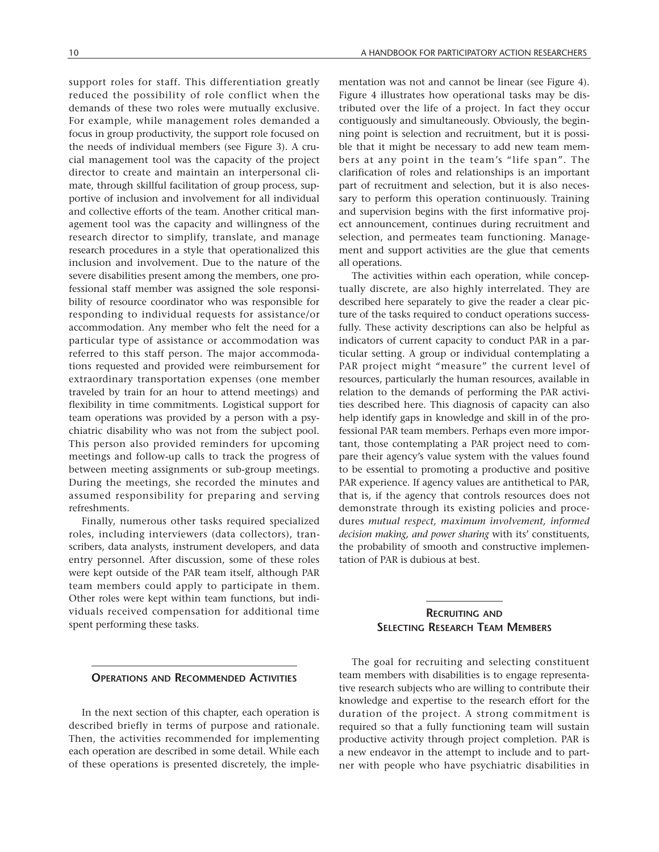support roles for staff. This differentiation greatly reduced the possibility of role conflict when the demands of these two roles were mutually exclusive. For example, while management roles demanded a focus in group productivity, the support role focused on the needs of individual members (see Figure 3). A crucial management tool was the capacity of the project director to create and maintain an interpersonal climate, through skillful facilitation of group process, supportive of inclusion and involvement for all individual and collective efforts of the team. Another critical management tool was the capacity and willingness of the research director to simplify, translate, and manage research procedures in a style that operationalized this inclusion and involvement. Due to the nature of the severe disabilities present among the members, one professional staff member was assigned the sole responsibility of resource coordinator who was responsible for responding to individual requests for assistance/or accommodation. Any member who felt the need for a particular type of assistance or accommodation was referred to this staff person. The major accommodations requested and provided were reimbursement for extraordinary transportation expenses (one member traveled by train for an hour to attend meetings) and flexibility in time commitments. Logistical support for team operations was provided by a person with a psychiatric disability who was not from the subject pool. This person also provided reminders for upcoming meetings and follow-up calls to track the progress of between meeting assignments or sub-group meetings. During the meetings, she recorded the minutes and assumed responsibility for preparing and serving refreshments.

Finally, numerous other tasks required specialized roles, including interviewers (data collectors), transcribers, data analysts, instrument developers, and data entry personnel. After discussion, some of these roles were kept outside of the PAR team itself, although PAR team members could apply to participate in them. Other roles were kept within team functions, but individuals received compensation for additional time spent performing these tasks.

mentation was not and cannot be linear (see Figure 4). Figure 4 illustrates how operational tasks may be distributed over the life of a project. In fact they occur contiguously and simultaneously. Obviously, the beginning point is selection and recruitment, but it is possible that it might be necessary to add new team members at any point in the team's "life span". The clarification of roles and relationships is an important part of recruitment and selection, but it is also necessary to perform this operation continuously. Training and supervision begins with the first informative project announcement, continues during recruitment and selection, and permeates team functioning. Management and support activities are the glue that cements all operations.

The activities within each operation, while conceptually discrete, are also highly interrelated. They are described here separately to give the reader a clear picture of the tasks required to conduct operations successfully. These activity descriptions can also be helpful as indicators of current capacity to conduct PAR in a particular setting. A group or individual contemplating a PAR project might "measure" the current level of resources, particularly the human resources, available in relation to the demands of performing the PAR activities described here. This diagnosis of capacity can also help identify gaps in knowledge and skill in of the professional PAR team members. Perhaps even more important, those contemplating a PAR project need to compare their agency's value system with the values found to be essential to promoting a productive and positive PAR experience. If agency values are antithetical to PAR, that is, if the agency that controls resources does not demonstrate through its existing policies and procedures *mutual respect, maximum involvement, informed decision making, and power sharing* with its' constituents, the probability of smooth and constructive implementation of PAR is dubious at best.

# **RECRUITING AND SELECTING RESEARCH TEAM MEMBERS**

#### **OPERATIONS AND RECOMMENDED ACTIVITIES**

In the next section of this chapter, each operation is described briefly in terms of purpose and rationale. Then, the activities recommended for implementing each operation are described in some detail. While each of these operations is presented discretely, the imple-

The goal for recruiting and selecting constituent team members with disabilities is to engage representative research subjects who are willing to contribute their knowledge and expertise to the research effort for the duration of the project. A strong commitment is required so that a fully functioning team will sustain productive activity through project completion. PAR is a new endeavor in the attempt to include and to partner with people who have psychiatric disabilities in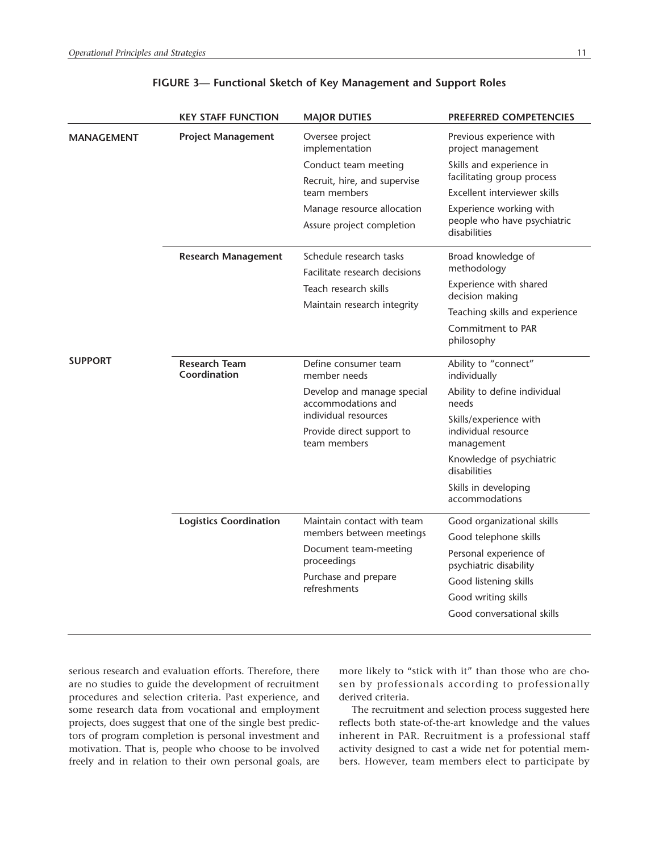|                   | <b>KEY STAFF FUNCTION</b>            | <b>MAJOR DUTIES</b>                                                                            | <b>PREFERRED COMPETENCIES</b>                          |
|-------------------|--------------------------------------|------------------------------------------------------------------------------------------------|--------------------------------------------------------|
| <b>MANAGEMENT</b> | <b>Project Management</b>            | Oversee project<br>implementation                                                              | Previous experience with<br>project management         |
|                   |                                      | Conduct team meeting                                                                           | Skills and experience in                               |
|                   |                                      | Recruit, hire, and supervise                                                                   | facilitating group process                             |
|                   |                                      | team members                                                                                   | Excellent interviewer skills                           |
|                   |                                      | Manage resource allocation                                                                     | Experience working with<br>people who have psychiatric |
|                   |                                      | Assure project completion                                                                      | disabilities                                           |
|                   | <b>Research Management</b>           | Schedule research tasks                                                                        | Broad knowledge of                                     |
|                   |                                      | Facilitate research decisions                                                                  | methodology                                            |
|                   |                                      | Teach research skills                                                                          | Experience with shared<br>decision making              |
|                   |                                      | Maintain research integrity                                                                    | Teaching skills and experience                         |
|                   |                                      |                                                                                                | Commitment to PAR<br>philosophy                        |
| <b>SUPPORT</b>    | <b>Research Team</b><br>Coordination | Define consumer team<br>member needs                                                           | Ability to "connect"<br>individually                   |
|                   |                                      | Develop and manage special<br>accommodations and                                               | Ability to define individual<br>needs                  |
|                   |                                      | individual resources<br>Provide direct support to<br>team members                              | Skills/experience with                                 |
|                   |                                      |                                                                                                | individual resource<br>management                      |
|                   |                                      |                                                                                                | Knowledge of psychiatric<br>disabilities               |
|                   |                                      |                                                                                                | Skills in developing<br>accommodations                 |
|                   | <b>Logistics Coordination</b>        | Maintain contact with team<br>members between meetings<br>Document team-meeting<br>proceedings | Good organizational skills                             |
|                   |                                      |                                                                                                | Good telephone skills                                  |
|                   |                                      |                                                                                                | Personal experience of<br>psychiatric disability       |
|                   |                                      | Purchase and prepare<br>refreshments                                                           | Good listening skills                                  |
|                   |                                      |                                                                                                | Good writing skills                                    |
|                   |                                      |                                                                                                | Good conversational skills                             |
|                   |                                      |                                                                                                |                                                        |

# **FIGURE 3— Functional Sketch of Key Management and Support Roles**

serious research and evaluation efforts. Therefore, there are no studies to guide the development of recruitment procedures and selection criteria. Past experience, and some research data from vocational and employment projects, does suggest that one of the single best predictors of program completion is personal investment and motivation. That is, people who choose to be involved freely and in relation to their own personal goals, are

more likely to "stick with it" than those who are chosen by professionals according to professionally derived criteria.

The recruitment and selection process suggested here reflects both state-of-the-art knowledge and the values inherent in PAR. Recruitment is a professional staff activity designed to cast a wide net for potential members. However, team members elect to participate by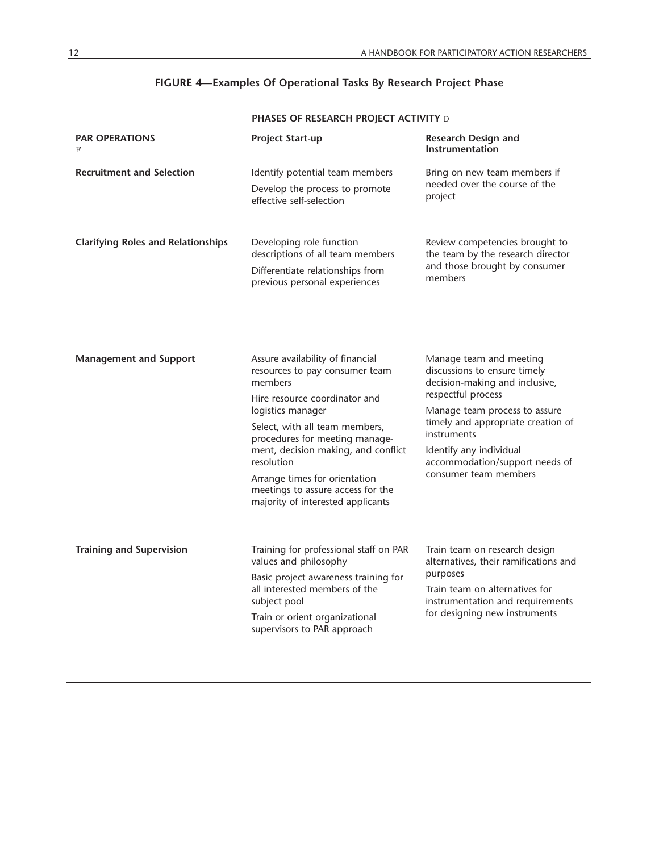| <b>PAR OPERATIONS</b><br>F                | <b>Project Start-up</b>                                                                                                                                                                                                                                                                                                                                                 | <b>Research Design and</b><br>Instrumentation                                                                                                                                                                                                                                               |
|-------------------------------------------|-------------------------------------------------------------------------------------------------------------------------------------------------------------------------------------------------------------------------------------------------------------------------------------------------------------------------------------------------------------------------|---------------------------------------------------------------------------------------------------------------------------------------------------------------------------------------------------------------------------------------------------------------------------------------------|
| <b>Recruitment and Selection</b>          | Identify potential team members<br>Develop the process to promote<br>effective self-selection                                                                                                                                                                                                                                                                           | Bring on new team members if<br>needed over the course of the<br>project                                                                                                                                                                                                                    |
| <b>Clarifying Roles and Relationships</b> | Developing role function<br>descriptions of all team members<br>Differentiate relationships from<br>previous personal experiences                                                                                                                                                                                                                                       | Review competencies brought to<br>the team by the research director<br>and those brought by consumer<br>members                                                                                                                                                                             |
| <b>Management and Support</b>             | Assure availability of financial<br>resources to pay consumer team<br>members<br>Hire resource coordinator and<br>logistics manager<br>Select, with all team members,<br>procedures for meeting manage-<br>ment, decision making, and conflict<br>resolution<br>Arrange times for orientation<br>meetings to assure access for the<br>majority of interested applicants | Manage team and meeting<br>discussions to ensure timely<br>decision-making and inclusive,<br>respectful process<br>Manage team process to assure<br>timely and appropriate creation of<br>instruments<br>Identify any individual<br>accommodation/support needs of<br>consumer team members |
| <b>Training and Supervision</b>           | Training for professional staff on PAR<br>values and philosophy<br>Basic project awareness training for<br>all interested members of the<br>subject pool<br>Train or orient organizational<br>supervisors to PAR approach                                                                                                                                               | Train team on research design<br>alternatives, their ramifications and<br>purposes<br>Train team on alternatives for<br>instrumentation and requirements<br>for designing new instruments                                                                                                   |

# **FIGURE 4—Examples Of Operational Tasks By Research Project Phase**

**PHASES OF RESEARCH PROJECT ACTIVITY** D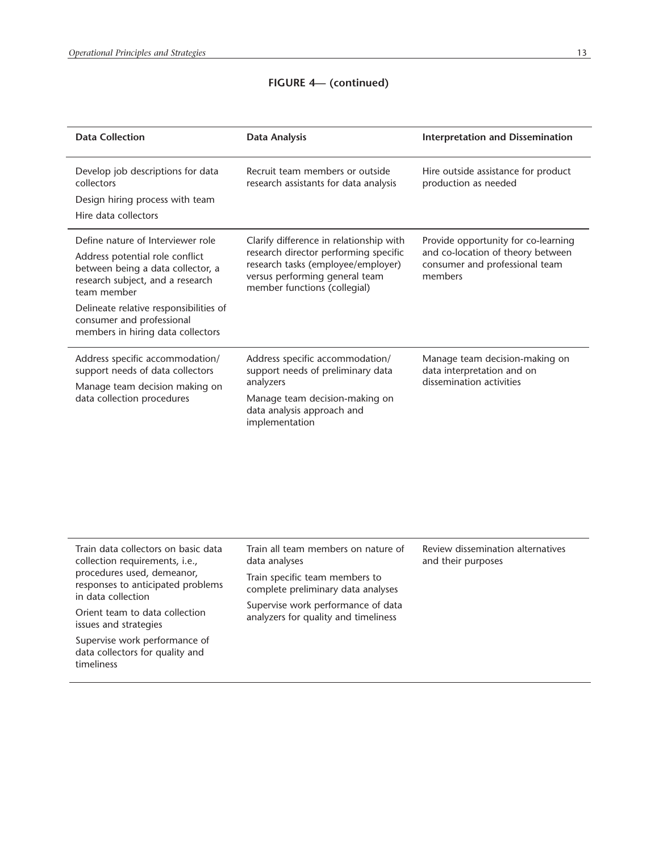# **FIGURE 4— (continued)**

| <b>Data Collection</b>                                                                                                  | <b>Data Analysis</b>                                                                                                                                                                     | <b>Interpretation and Dissemination</b>                                                                               |
|-------------------------------------------------------------------------------------------------------------------------|------------------------------------------------------------------------------------------------------------------------------------------------------------------------------------------|-----------------------------------------------------------------------------------------------------------------------|
| Develop job descriptions for data<br>collectors                                                                         | Recruit team members or outside<br>research assistants for data analysis                                                                                                                 | Hire outside assistance for product<br>production as needed                                                           |
| Design hiring process with team                                                                                         |                                                                                                                                                                                          |                                                                                                                       |
| Hire data collectors                                                                                                    |                                                                                                                                                                                          |                                                                                                                       |
| Define nature of Interviewer role                                                                                       | Clarify difference in relationship with<br>research director performing specific<br>research tasks (employee/employer)<br>versus performing general team<br>member functions (collegial) | Provide opportunity for co-learning<br>and co-location of theory between<br>consumer and professional team<br>members |
| Address potential role conflict<br>between being a data collector, a<br>research subject, and a research<br>team member |                                                                                                                                                                                          |                                                                                                                       |
| Delineate relative responsibilities of<br>consumer and professional<br>members in hiring data collectors                |                                                                                                                                                                                          |                                                                                                                       |
| Address specific accommodation/<br>support needs of data collectors<br>Manage team decision making on                   | Address specific accommodation/<br>support needs of preliminary data<br>analyzers                                                                                                        | Manage team decision-making on<br>data interpretation and on<br>dissemination activities                              |
| data collection procedures                                                                                              | Manage team decision-making on<br>data analysis approach and<br>implementation                                                                                                           |                                                                                                                       |
|                                                                                                                         |                                                                                                                                                                                          |                                                                                                                       |
| Train data collectors on basic data<br>collection requirements, i.e.,                                                   | Train all team members on nature of<br>data analyses                                                                                                                                     | Review dissemination alternatives<br>and their purposes                                                               |
| procedures used, demeanor,<br>responses to anticipated problems<br>in data collection                                   | Train specific team members to<br>complete preliminary data analyses                                                                                                                     |                                                                                                                       |
| Orient team to data collection<br>issues and strategies                                                                 | Supervise work performance of data<br>analyzers for quality and timeliness                                                                                                               |                                                                                                                       |
| Supervise work performance of<br>data collectors for quality and<br>timeliness                                          |                                                                                                                                                                                          |                                                                                                                       |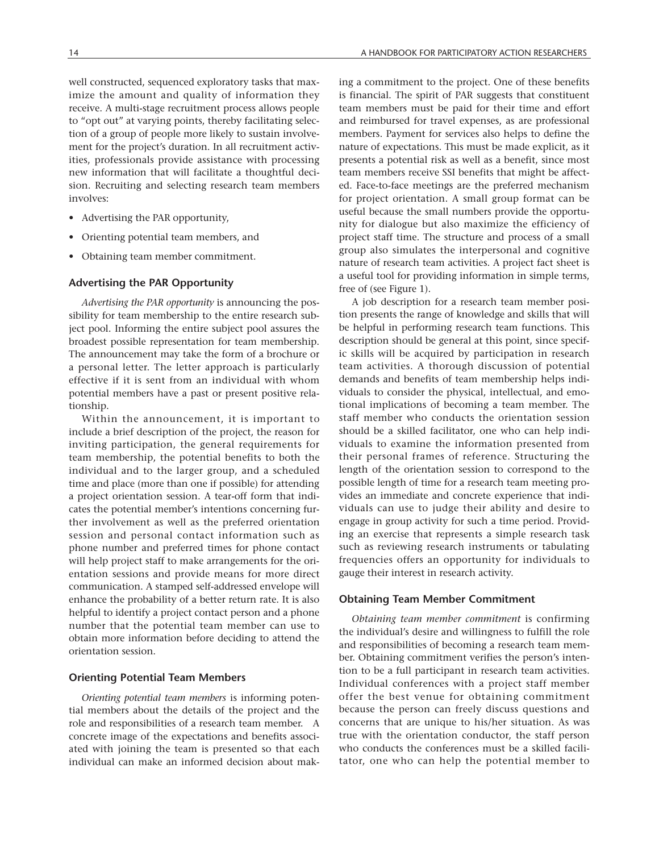involves:

well constructed, sequenced exploratory tasks that maximize the amount and quality of information they receive. A multi-stage recruitment process allows people to "opt out" at varying points, thereby facilitating selection of a group of people more likely to sustain involvement for the project's duration. In all recruitment activities, professionals provide assistance with processing new information that will facilitate a thoughtful deci-

sion. Recruiting and selecting research team members

- Advertising the PAR opportunity,
- Orienting potential team members, and
- Obtaining team member commitment.

#### **Advertising the PAR Opportunity**

*Advertising the PAR opportunity* is announcing the possibility for team membership to the entire research subject pool. Informing the entire subject pool assures the broadest possible representation for team membership. The announcement may take the form of a brochure or a personal letter. The letter approach is particularly effective if it is sent from an individual with whom potential members have a past or present positive relationship.

Within the announcement, it is important to include a brief description of the project, the reason for inviting participation, the general requirements for team membership, the potential benefits to both the individual and to the larger group, and a scheduled time and place (more than one if possible) for attending a project orientation session. A tear-off form that indicates the potential member's intentions concerning further involvement as well as the preferred orientation session and personal contact information such as phone number and preferred times for phone contact will help project staff to make arrangements for the orientation sessions and provide means for more direct communication. A stamped self-addressed envelope will enhance the probability of a better return rate. It is also helpful to identify a project contact person and a phone number that the potential team member can use to obtain more information before deciding to attend the orientation session.

#### **Orienting Potential Team Members**

*Orienting potential team members* is informing potential members about the details of the project and the role and responsibilities of a research team member. A concrete image of the expectations and benefits associated with joining the team is presented so that each individual can make an informed decision about making a commitment to the project. One of these benefits is financial. The spirit of PAR suggests that constituent team members must be paid for their time and effort and reimbursed for travel expenses, as are professional members. Payment for services also helps to define the nature of expectations. This must be made explicit, as it presents a potential risk as well as a benefit, since most team members receive SSI benefits that might be affected. Face-to-face meetings are the preferred mechanism for project orientation. A small group format can be useful because the small numbers provide the opportunity for dialogue but also maximize the efficiency of project staff time. The structure and process of a small group also simulates the interpersonal and cognitive nature of research team activities. A project fact sheet is a useful tool for providing information in simple terms, free of (see Figure 1).

A job description for a research team member position presents the range of knowledge and skills that will be helpful in performing research team functions. This description should be general at this point, since specific skills will be acquired by participation in research team activities. A thorough discussion of potential demands and benefits of team membership helps individuals to consider the physical, intellectual, and emotional implications of becoming a team member. The staff member who conducts the orientation session should be a skilled facilitator, one who can help individuals to examine the information presented from their personal frames of reference. Structuring the length of the orientation session to correspond to the possible length of time for a research team meeting provides an immediate and concrete experience that individuals can use to judge their ability and desire to engage in group activity for such a time period. Providing an exercise that represents a simple research task such as reviewing research instruments or tabulating frequencies offers an opportunity for individuals to gauge their interest in research activity.

#### **Obtaining Team Member Commitment**

*Obtaining team member commitment* is confirming the individual's desire and willingness to fulfill the role and responsibilities of becoming a research team member. Obtaining commitment verifies the person's intention to be a full participant in research team activities. Individual conferences with a project staff member offer the best venue for obtaining commitment because the person can freely discuss questions and concerns that are unique to his/her situation. As was true with the orientation conductor, the staff person who conducts the conferences must be a skilled facilitator, one who can help the potential member to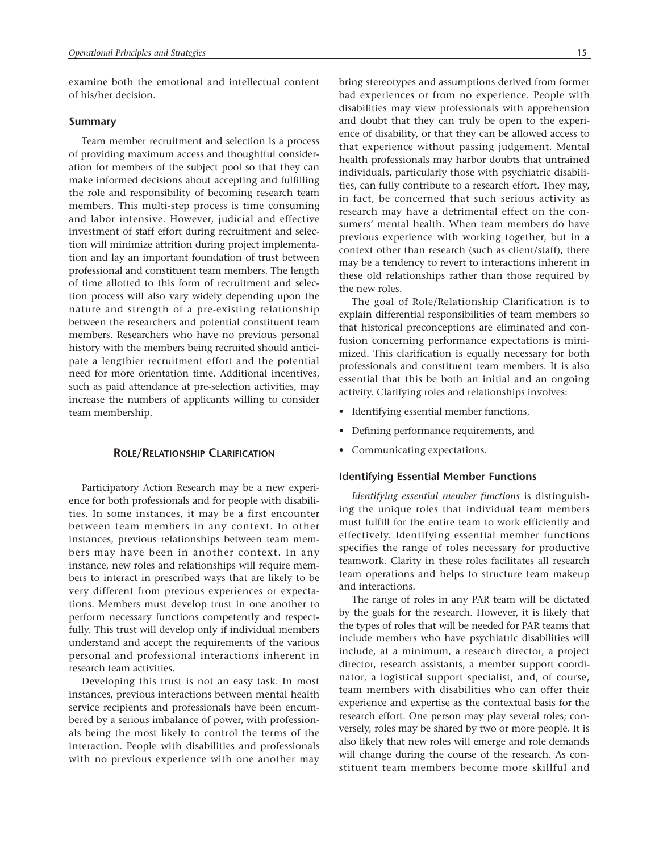examine both the emotional and intellectual content of his/her decision.

#### **Summary**

Team member recruitment and selection is a process of providing maximum access and thoughtful consideration for members of the subject pool so that they can make informed decisions about accepting and fulfilling the role and responsibility of becoming research team members. This multi-step process is time consuming and labor intensive. However, judicial and effective investment of staff effort during recruitment and selection will minimize attrition during project implementation and lay an important foundation of trust between professional and constituent team members. The length of time allotted to this form of recruitment and selection process will also vary widely depending upon the nature and strength of a pre-existing relationship between the researchers and potential constituent team members. Researchers who have no previous personal history with the members being recruited should anticipate a lengthier recruitment effort and the potential need for more orientation time. Additional incentives, such as paid attendance at pre-selection activities, may increase the numbers of applicants willing to consider team membership.

#### **ROLE/RELATIONSHIP CLARIFICATION**

Participatory Action Research may be a new experience for both professionals and for people with disabilities. In some instances, it may be a first encounter between team members in any context. In other instances, previous relationships between team members may have been in another context. In any instance, new roles and relationships will require members to interact in prescribed ways that are likely to be very different from previous experiences or expectations. Members must develop trust in one another to perform necessary functions competently and respectfully. This trust will develop only if individual members understand and accept the requirements of the various personal and professional interactions inherent in research team activities.

Developing this trust is not an easy task. In most instances, previous interactions between mental health service recipients and professionals have been encumbered by a serious imbalance of power, with professionals being the most likely to control the terms of the interaction. People with disabilities and professionals with no previous experience with one another may bring stereotypes and assumptions derived from former bad experiences or from no experience. People with disabilities may view professionals with apprehension and doubt that they can truly be open to the experience of disability, or that they can be allowed access to that experience without passing judgement. Mental health professionals may harbor doubts that untrained individuals, particularly those with psychiatric disabilities, can fully contribute to a research effort. They may, in fact, be concerned that such serious activity as research may have a detrimental effect on the consumers' mental health. When team members do have previous experience with working together, but in a context other than research (such as client/staff), there may be a tendency to revert to interactions inherent in these old relationships rather than those required by the new roles.

The goal of Role/Relationship Clarification is to explain differential responsibilities of team members so that historical preconceptions are eliminated and confusion concerning performance expectations is minimized. This clarification is equally necessary for both professionals and constituent team members. It is also essential that this be both an initial and an ongoing activity. Clarifying roles and relationships involves:

- Identifying essential member functions,
- Defining performance requirements, and
- Communicating expectations.

#### **Identifying Essential Member Functions**

*Identifying essential member functions* is distinguishing the unique roles that individual team members must fulfill for the entire team to work efficiently and effectively. Identifying essential member functions specifies the range of roles necessary for productive teamwork. Clarity in these roles facilitates all research team operations and helps to structure team makeup and interactions.

The range of roles in any PAR team will be dictated by the goals for the research. However, it is likely that the types of roles that will be needed for PAR teams that include members who have psychiatric disabilities will include, at a minimum, a research director, a project director, research assistants, a member support coordinator, a logistical support specialist, and, of course, team members with disabilities who can offer their experience and expertise as the contextual basis for the research effort. One person may play several roles; conversely, roles may be shared by two or more people. It is also likely that new roles will emerge and role demands will change during the course of the research. As constituent team members become more skillful and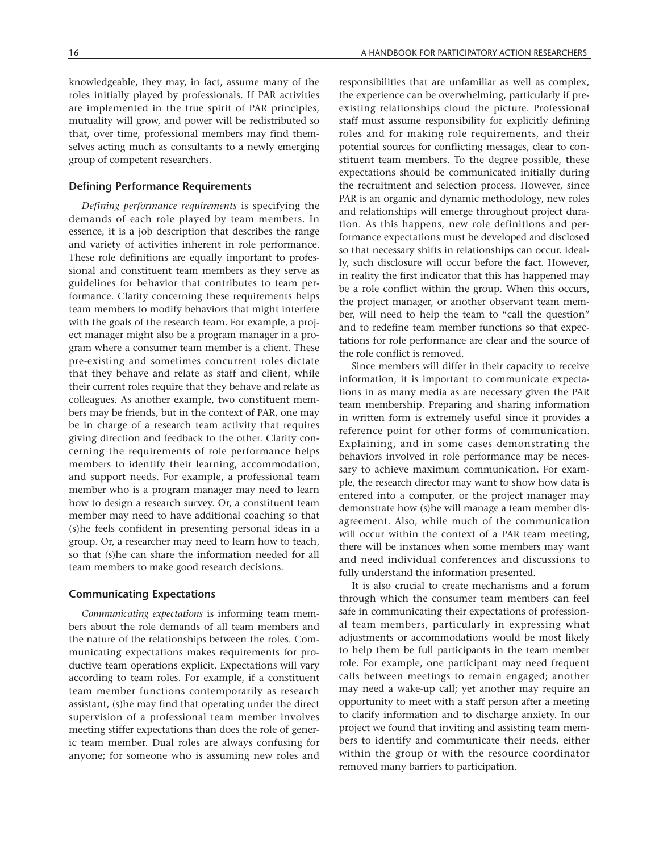knowledgeable, they may, in fact, assume many of the roles initially played by professionals. If PAR activities are implemented in the true spirit of PAR principles, mutuality will grow, and power will be redistributed so that, over time, professional members may find themselves acting much as consultants to a newly emerging group of competent researchers.

#### **Defining Performance Requirements**

*Defining performance requirements* is specifying the demands of each role played by team members. In essence, it is a job description that describes the range and variety of activities inherent in role performance. These role definitions are equally important to professional and constituent team members as they serve as guidelines for behavior that contributes to team performance. Clarity concerning these requirements helps team members to modify behaviors that might interfere with the goals of the research team. For example, a project manager might also be a program manager in a program where a consumer team member is a client. These pre-existing and sometimes concurrent roles dictate that they behave and relate as staff and client, while their current roles require that they behave and relate as colleagues. As another example, two constituent members may be friends, but in the context of PAR, one may be in charge of a research team activity that requires giving direction and feedback to the other. Clarity concerning the requirements of role performance helps members to identify their learning, accommodation, and support needs. For example, a professional team member who is a program manager may need to learn how to design a research survey. Or, a constituent team member may need to have additional coaching so that (s)he feels confident in presenting personal ideas in a group. Or, a researcher may need to learn how to teach, so that (s)he can share the information needed for all team members to make good research decisions.

#### **Communicating Expectations**

*Communicating expectations* is informing team members about the role demands of all team members and the nature of the relationships between the roles. Communicating expectations makes requirements for productive team operations explicit. Expectations will vary according to team roles. For example, if a constituent team member functions contemporarily as research assistant, (s)he may find that operating under the direct supervision of a professional team member involves meeting stiffer expectations than does the role of generic team member. Dual roles are always confusing for anyone; for someone who is assuming new roles and responsibilities that are unfamiliar as well as complex, the experience can be overwhelming, particularly if preexisting relationships cloud the picture. Professional staff must assume responsibility for explicitly defining roles and for making role requirements, and their potential sources for conflicting messages, clear to constituent team members. To the degree possible, these expectations should be communicated initially during the recruitment and selection process. However, since PAR is an organic and dynamic methodology, new roles and relationships will emerge throughout project duration. As this happens, new role definitions and performance expectations must be developed and disclosed so that necessary shifts in relationships can occur. Ideally, such disclosure will occur before the fact. However, in reality the first indicator that this has happened may be a role conflict within the group. When this occurs, the project manager, or another observant team member, will need to help the team to "call the question" and to redefine team member functions so that expectations for role performance are clear and the source of the role conflict is removed.

Since members will differ in their capacity to receive information, it is important to communicate expectations in as many media as are necessary given the PAR team membership. Preparing and sharing information in written form is extremely useful since it provides a reference point for other forms of communication. Explaining, and in some cases demonstrating the behaviors involved in role performance may be necessary to achieve maximum communication. For example, the research director may want to show how data is entered into a computer, or the project manager may demonstrate how (s)he will manage a team member disagreement. Also, while much of the communication will occur within the context of a PAR team meeting, there will be instances when some members may want and need individual conferences and discussions to fully understand the information presented.

It is also crucial to create mechanisms and a forum through which the consumer team members can feel safe in communicating their expectations of professional team members, particularly in expressing what adjustments or accommodations would be most likely to help them be full participants in the team member role. For example, one participant may need frequent calls between meetings to remain engaged; another may need a wake-up call; yet another may require an opportunity to meet with a staff person after a meeting to clarify information and to discharge anxiety. In our project we found that inviting and assisting team members to identify and communicate their needs, either within the group or with the resource coordinator removed many barriers to participation.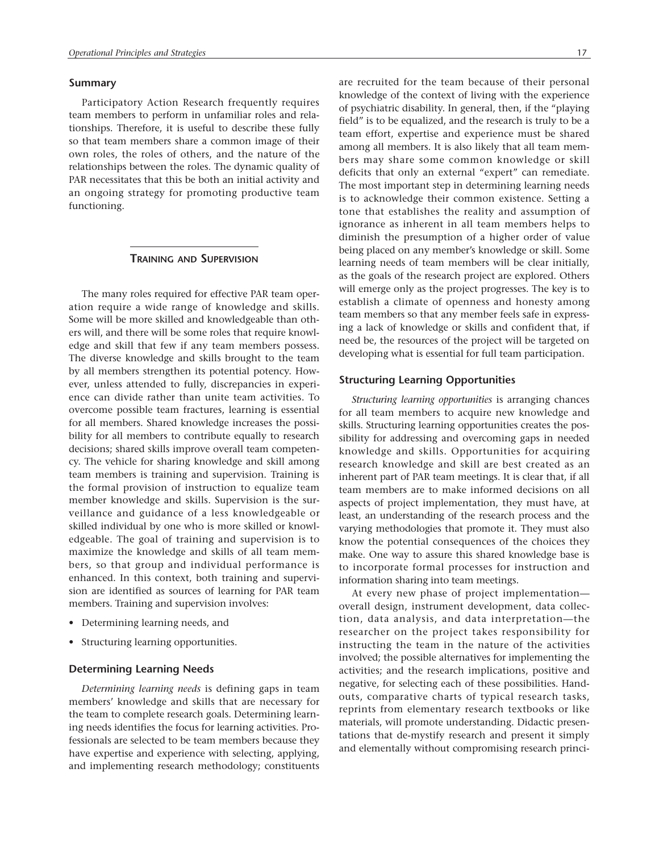#### **Summary**

Participatory Action Research frequently requires team members to perform in unfamiliar roles and relationships. Therefore, it is useful to describe these fully so that team members share a common image of their own roles, the roles of others, and the nature of the relationships between the roles. The dynamic quality of PAR necessitates that this be both an initial activity and an ongoing strategy for promoting productive team functioning.

### **TRAINING AND SUPERVISION**

The many roles required for effective PAR team operation require a wide range of knowledge and skills. Some will be more skilled and knowledgeable than others will, and there will be some roles that require knowledge and skill that few if any team members possess. The diverse knowledge and skills brought to the team by all members strengthen its potential potency. However, unless attended to fully, discrepancies in experience can divide rather than unite team activities. To overcome possible team fractures, learning is essential for all members. Shared knowledge increases the possibility for all members to contribute equally to research decisions; shared skills improve overall team competency. The vehicle for sharing knowledge and skill among team members is training and supervision. Training is the formal provision of instruction to equalize team member knowledge and skills. Supervision is the surveillance and guidance of a less knowledgeable or skilled individual by one who is more skilled or knowledgeable. The goal of training and supervision is to maximize the knowledge and skills of all team members, so that group and individual performance is enhanced. In this context, both training and supervision are identified as sources of learning for PAR team members. Training and supervision involves:

- Determining learning needs, and
- Structuring learning opportunities.

#### **Determining Learning Needs**

*Determining learning needs* is defining gaps in team members' knowledge and skills that are necessary for the team to complete research goals. Determining learning needs identifies the focus for learning activities. Professionals are selected to be team members because they have expertise and experience with selecting, applying, and implementing research methodology; constituents are recruited for the team because of their personal knowledge of the context of living with the experience of psychiatric disability. In general, then, if the "playing field" is to be equalized, and the research is truly to be a team effort, expertise and experience must be shared among all members. It is also likely that all team members may share some common knowledge or skill deficits that only an external "expert" can remediate. The most important step in determining learning needs is to acknowledge their common existence. Setting a tone that establishes the reality and assumption of ignorance as inherent in all team members helps to diminish the presumption of a higher order of value being placed on any member's knowledge or skill. Some learning needs of team members will be clear initially, as the goals of the research project are explored. Others will emerge only as the project progresses. The key is to establish a climate of openness and honesty among team members so that any member feels safe in expressing a lack of knowledge or skills and confident that, if need be, the resources of the project will be targeted on developing what is essential for full team participation.

#### **Structuring Learning Opportunities**

*Structuring learning opportunities* is arranging chances for all team members to acquire new knowledge and skills. Structuring learning opportunities creates the possibility for addressing and overcoming gaps in needed knowledge and skills. Opportunities for acquiring research knowledge and skill are best created as an inherent part of PAR team meetings. It is clear that, if all team members are to make informed decisions on all aspects of project implementation, they must have, at least, an understanding of the research process and the varying methodologies that promote it. They must also know the potential consequences of the choices they make. One way to assure this shared knowledge base is to incorporate formal processes for instruction and information sharing into team meetings.

At every new phase of project implementation overall design, instrument development, data collection, data analysis, and data interpretation—the researcher on the project takes responsibility for instructing the team in the nature of the activities involved; the possible alternatives for implementing the activities; and the research implications, positive and negative, for selecting each of these possibilities. Handouts, comparative charts of typical research tasks, reprints from elementary research textbooks or like materials, will promote understanding. Didactic presentations that de-mystify research and present it simply and elementally without compromising research princi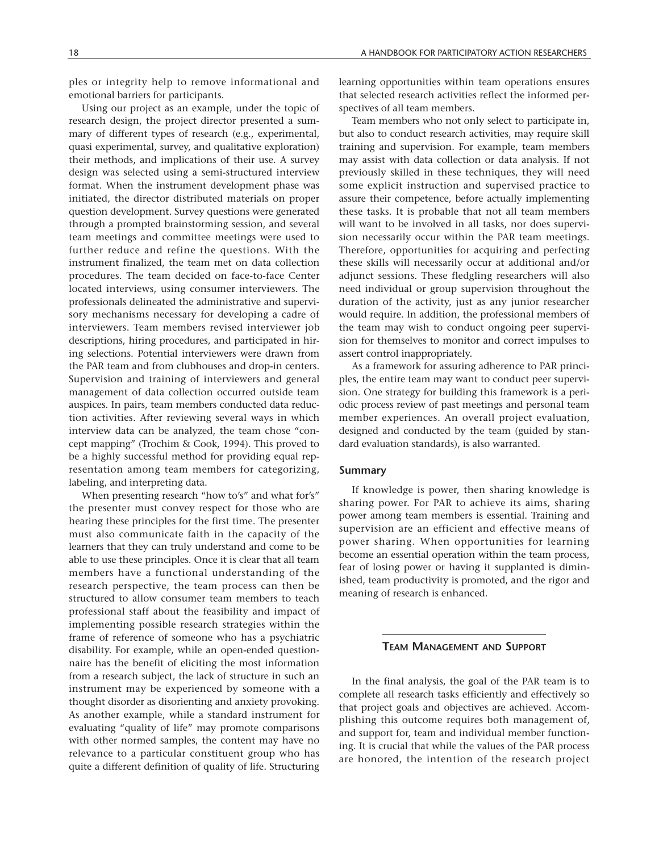ples or integrity help to remove informational and emotional barriers for participants.

Using our project as an example, under the topic of research design, the project director presented a summary of different types of research (e.g., experimental, quasi experimental, survey, and qualitative exploration) their methods, and implications of their use. A survey design was selected using a semi-structured interview format. When the instrument development phase was initiated, the director distributed materials on proper question development. Survey questions were generated through a prompted brainstorming session, and several team meetings and committee meetings were used to further reduce and refine the questions. With the instrument finalized, the team met on data collection procedures. The team decided on face-to-face Center located interviews, using consumer interviewers. The professionals delineated the administrative and supervisory mechanisms necessary for developing a cadre of interviewers. Team members revised interviewer job descriptions, hiring procedures, and participated in hiring selections. Potential interviewers were drawn from the PAR team and from clubhouses and drop-in centers. Supervision and training of interviewers and general management of data collection occurred outside team auspices. In pairs, team members conducted data reduction activities. After reviewing several ways in which interview data can be analyzed, the team chose "concept mapping" (Trochim & Cook, 1994). This proved to be a highly successful method for providing equal representation among team members for categorizing, labeling, and interpreting data.

When presenting research "how to's" and what for's" the presenter must convey respect for those who are hearing these principles for the first time. The presenter must also communicate faith in the capacity of the learners that they can truly understand and come to be able to use these principles. Once it is clear that all team members have a functional understanding of the research perspective, the team process can then be structured to allow consumer team members to teach professional staff about the feasibility and impact of implementing possible research strategies within the frame of reference of someone who has a psychiatric disability. For example, while an open-ended questionnaire has the benefit of eliciting the most information from a research subject, the lack of structure in such an instrument may be experienced by someone with a thought disorder as disorienting and anxiety provoking. As another example, while a standard instrument for evaluating "quality of life" may promote comparisons with other normed samples, the content may have no relevance to a particular constituent group who has quite a different definition of quality of life. Structuring

learning opportunities within team operations ensures that selected research activities reflect the informed perspectives of all team members.

Team members who not only select to participate in, but also to conduct research activities, may require skill training and supervision. For example, team members may assist with data collection or data analysis. If not previously skilled in these techniques, they will need some explicit instruction and supervised practice to assure their competence, before actually implementing these tasks. It is probable that not all team members will want to be involved in all tasks, nor does supervision necessarily occur within the PAR team meetings. Therefore, opportunities for acquiring and perfecting these skills will necessarily occur at additional and/or adjunct sessions. These fledgling researchers will also need individual or group supervision throughout the duration of the activity, just as any junior researcher would require. In addition, the professional members of the team may wish to conduct ongoing peer supervision for themselves to monitor and correct impulses to assert control inappropriately.

As a framework for assuring adherence to PAR principles, the entire team may want to conduct peer supervision. One strategy for building this framework is a periodic process review of past meetings and personal team member experiences. An overall project evaluation, designed and conducted by the team (guided by standard evaluation standards), is also warranted.

#### **Summary**

If knowledge is power, then sharing knowledge is sharing power. For PAR to achieve its aims, sharing power among team members is essential. Training and supervision are an efficient and effective means of power sharing. When opportunities for learning become an essential operation within the team process, fear of losing power or having it supplanted is diminished, team productivity is promoted, and the rigor and meaning of research is enhanced.

## **TEAM MANAGEMENT AND SUPPORT**

In the final analysis, the goal of the PAR team is to complete all research tasks efficiently and effectively so that project goals and objectives are achieved. Accomplishing this outcome requires both management of, and support for, team and individual member functioning. It is crucial that while the values of the PAR process are honored, the intention of the research project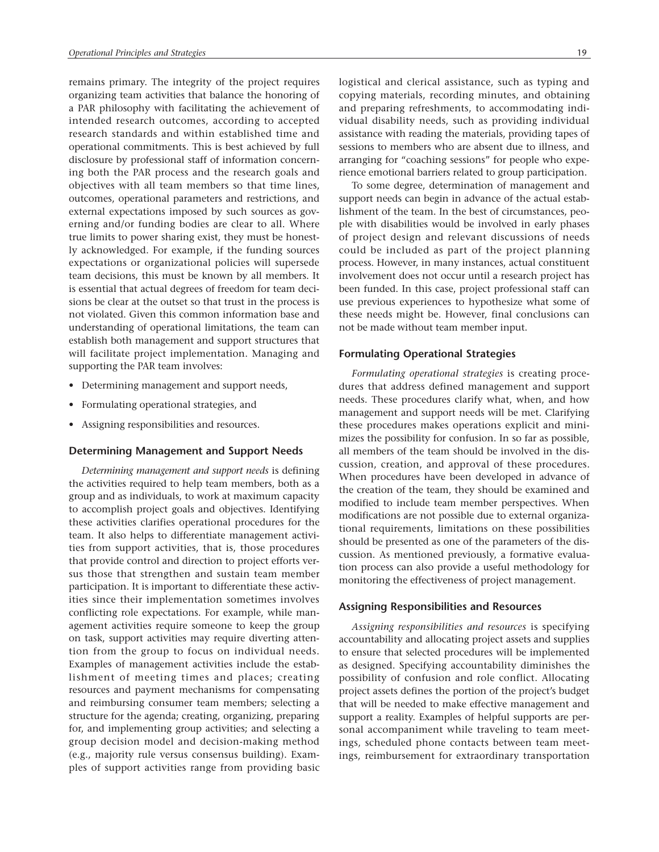remains primary. The integrity of the project requires organizing team activities that balance the honoring of a PAR philosophy with facilitating the achievement of intended research outcomes, according to accepted research standards and within established time and operational commitments. This is best achieved by full disclosure by professional staff of information concerning both the PAR process and the research goals and objectives with all team members so that time lines, outcomes, operational parameters and restrictions, and external expectations imposed by such sources as governing and/or funding bodies are clear to all. Where true limits to power sharing exist, they must be honestly acknowledged. For example, if the funding sources expectations or organizational policies will supersede team decisions, this must be known by all members. It is essential that actual degrees of freedom for team decisions be clear at the outset so that trust in the process is not violated. Given this common information base and understanding of operational limitations, the team can establish both management and support structures that will facilitate project implementation. Managing and supporting the PAR team involves:

- Determining management and support needs,
- Formulating operational strategies, and
- Assigning responsibilities and resources.

#### **Determining Management and Support Needs**

*Determining management and support needs* is defining the activities required to help team members, both as a group and as individuals, to work at maximum capacity to accomplish project goals and objectives. Identifying these activities clarifies operational procedures for the team. It also helps to differentiate management activities from support activities, that is, those procedures that provide control and direction to project efforts versus those that strengthen and sustain team member participation. It is important to differentiate these activities since their implementation sometimes involves conflicting role expectations. For example, while management activities require someone to keep the group on task, support activities may require diverting attention from the group to focus on individual needs. Examples of management activities include the establishment of meeting times and places; creating resources and payment mechanisms for compensating and reimbursing consumer team members; selecting a structure for the agenda; creating, organizing, preparing for, and implementing group activities; and selecting a group decision model and decision-making method (e.g., majority rule versus consensus building). Examples of support activities range from providing basic

logistical and clerical assistance, such as typing and copying materials, recording minutes, and obtaining and preparing refreshments, to accommodating individual disability needs, such as providing individual assistance with reading the materials, providing tapes of sessions to members who are absent due to illness, and arranging for "coaching sessions" for people who experience emotional barriers related to group participation.

To some degree, determination of management and support needs can begin in advance of the actual establishment of the team. In the best of circumstances, people with disabilities would be involved in early phases of project design and relevant discussions of needs could be included as part of the project planning process. However, in many instances, actual constituent involvement does not occur until a research project has been funded. In this case, project professional staff can use previous experiences to hypothesize what some of these needs might be. However, final conclusions can not be made without team member input.

#### **Formulating Operational Strategies**

*Formulating operational strategies* is creating procedures that address defined management and support needs. These procedures clarify what, when, and how management and support needs will be met. Clarifying these procedures makes operations explicit and minimizes the possibility for confusion. In so far as possible, all members of the team should be involved in the discussion, creation, and approval of these procedures. When procedures have been developed in advance of the creation of the team, they should be examined and modified to include team member perspectives. When modifications are not possible due to external organizational requirements, limitations on these possibilities should be presented as one of the parameters of the discussion. As mentioned previously, a formative evaluation process can also provide a useful methodology for monitoring the effectiveness of project management.

#### **Assigning Responsibilities and Resources**

*Assigning responsibilities and resources* is specifying accountability and allocating project assets and supplies to ensure that selected procedures will be implemented as designed. Specifying accountability diminishes the possibility of confusion and role conflict. Allocating project assets defines the portion of the project's budget that will be needed to make effective management and support a reality. Examples of helpful supports are personal accompaniment while traveling to team meetings, scheduled phone contacts between team meetings, reimbursement for extraordinary transportation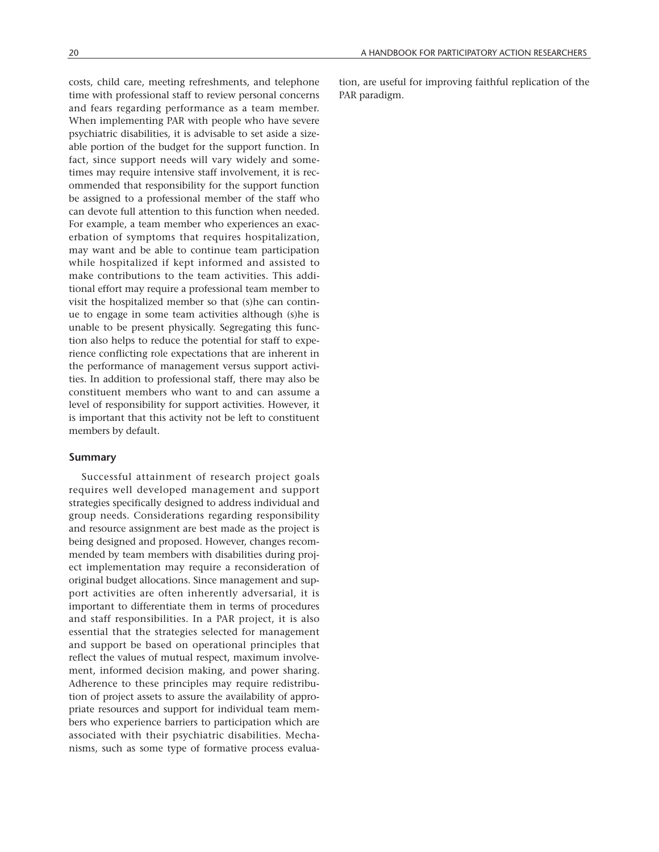costs, child care, meeting refreshments, and telephone time with professional staff to review personal concerns and fears regarding performance as a team member. When implementing PAR with people who have severe psychiatric disabilities, it is advisable to set aside a sizeable portion of the budget for the support function. In fact, since support needs will vary widely and sometimes may require intensive staff involvement, it is recommended that responsibility for the support function be assigned to a professional member of the staff who can devote full attention to this function when needed. For example, a team member who experiences an exacerbation of symptoms that requires hospitalization, may want and be able to continue team participation while hospitalized if kept informed and assisted to make contributions to the team activities. This additional effort may require a professional team member to visit the hospitalized member so that (s)he can continue to engage in some team activities although (s)he is unable to be present physically. Segregating this function also helps to reduce the potential for staff to experience conflicting role expectations that are inherent in the performance of management versus support activities. In addition to professional staff, there may also be constituent members who want to and can assume a level of responsibility for support activities. However, it is important that this activity not be left to constituent members by default.

#### **Summary**

Successful attainment of research project goals requires well developed management and support strategies specifically designed to address individual and group needs. Considerations regarding responsibility and resource assignment are best made as the project is being designed and proposed. However, changes recommended by team members with disabilities during project implementation may require a reconsideration of original budget allocations. Since management and support activities are often inherently adversarial, it is important to differentiate them in terms of procedures and staff responsibilities. In a PAR project, it is also essential that the strategies selected for management and support be based on operational principles that reflect the values of mutual respect, maximum involvement, informed decision making, and power sharing. Adherence to these principles may require redistribution of project assets to assure the availability of appropriate resources and support for individual team members who experience barriers to participation which are associated with their psychiatric disabilities. Mechanisms, such as some type of formative process evaluation, are useful for improving faithful replication of the PAR paradigm.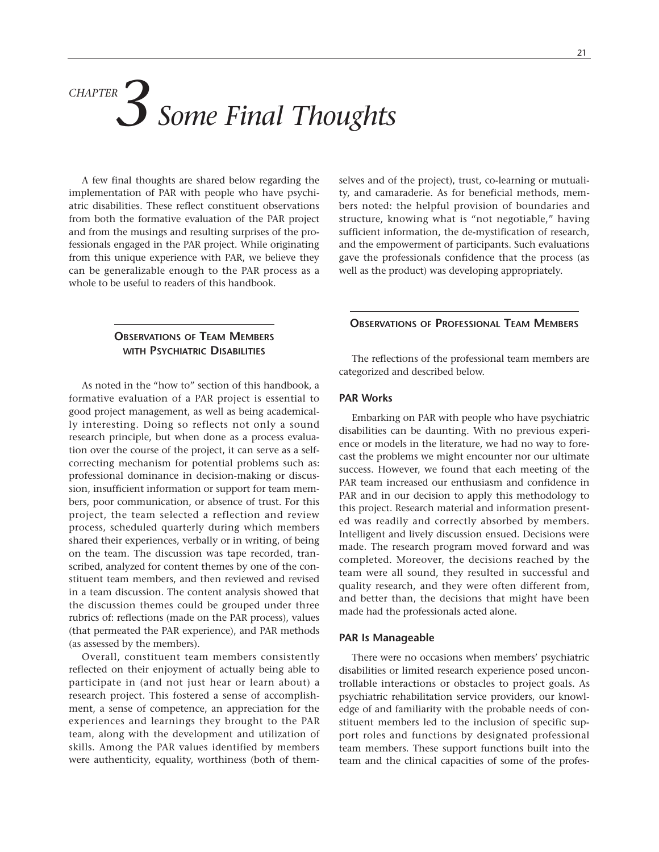# *Some Final Thoughts CHAPTER 3*

A few final thoughts are shared below regarding the implementation of PAR with people who have psychiatric disabilities. These reflect constituent observations from both the formative evaluation of the PAR project and from the musings and resulting surprises of the professionals engaged in the PAR project. While originating from this unique experience with PAR, we believe they can be generalizable enough to the PAR process as a whole to be useful to readers of this handbook.

# **OBSERVATIONS OF TEAM MEMBERS WITH PSYCHIATRIC DISABILITIES**

As noted in the "how to" section of this handbook, a formative evaluation of a PAR project is essential to good project management, as well as being academically interesting. Doing so reflects not only a sound research principle, but when done as a process evaluation over the course of the project, it can serve as a selfcorrecting mechanism for potential problems such as: professional dominance in decision-making or discussion, insufficient information or support for team members, poor communication, or absence of trust. For this project, the team selected a reflection and review process, scheduled quarterly during which members shared their experiences, verbally or in writing, of being on the team. The discussion was tape recorded, transcribed, analyzed for content themes by one of the constituent team members, and then reviewed and revised in a team discussion. The content analysis showed that the discussion themes could be grouped under three rubrics of: reflections (made on the PAR process), values (that permeated the PAR experience), and PAR methods (as assessed by the members).

Overall, constituent team members consistently reflected on their enjoyment of actually being able to participate in (and not just hear or learn about) a research project. This fostered a sense of accomplishment, a sense of competence, an appreciation for the experiences and learnings they brought to the PAR team, along with the development and utilization of skills. Among the PAR values identified by members were authenticity, equality, worthiness (both of themselves and of the project), trust, co-learning or mutuality, and camaraderie. As for beneficial methods, members noted: the helpful provision of boundaries and structure, knowing what is "not negotiable," having sufficient information, the de-mystification of research, and the empowerment of participants. Such evaluations gave the professionals confidence that the process (as well as the product) was developing appropriately.

# **OBSERVATIONS OF PROFESSIONAL TEAM MEMBERS**

The reflections of the professional team members are categorized and described below.

#### **PAR Works**

Embarking on PAR with people who have psychiatric disabilities can be daunting. With no previous experience or models in the literature, we had no way to forecast the problems we might encounter nor our ultimate success. However, we found that each meeting of the PAR team increased our enthusiasm and confidence in PAR and in our decision to apply this methodology to this project. Research material and information presented was readily and correctly absorbed by members. Intelligent and lively discussion ensued. Decisions were made. The research program moved forward and was completed. Moreover, the decisions reached by the team were all sound, they resulted in successful and quality research, and they were often different from, and better than, the decisions that might have been made had the professionals acted alone.

#### **PAR Is Manageable**

There were no occasions when members' psychiatric disabilities or limited research experience posed uncontrollable interactions or obstacles to project goals. As psychiatric rehabilitation service providers, our knowledge of and familiarity with the probable needs of constituent members led to the inclusion of specific support roles and functions by designated professional team members. These support functions built into the team and the clinical capacities of some of the profes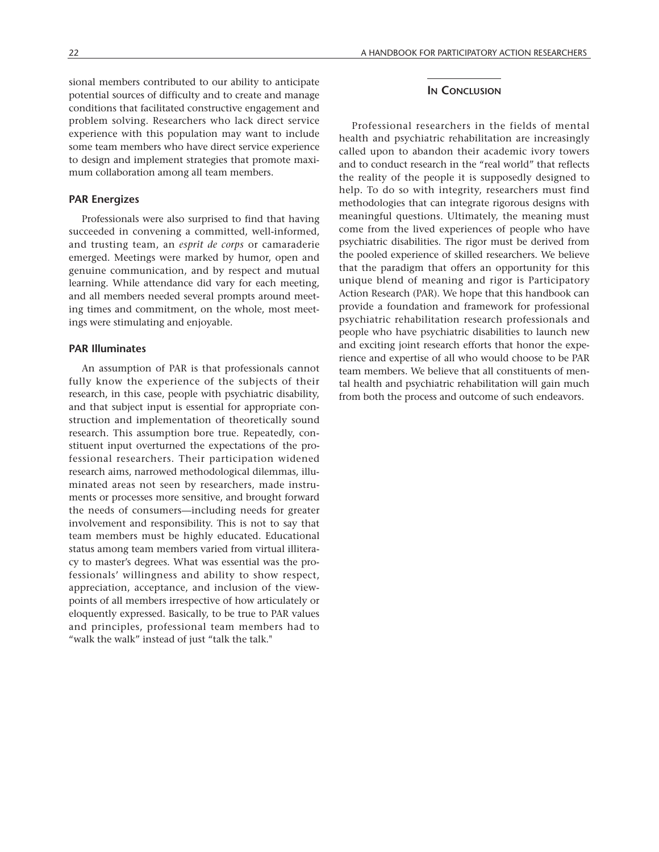sional members contributed to our ability to anticipate potential sources of difficulty and to create and manage conditions that facilitated constructive engagement and problem solving. Researchers who lack direct service experience with this population may want to include some team members who have direct service experience to design and implement strategies that promote maximum collaboration among all team members.

#### **PAR Energizes**

Professionals were also surprised to find that having succeeded in convening a committed, well-informed, and trusting team, an *esprit de corps* or camaraderie emerged. Meetings were marked by humor, open and genuine communication, and by respect and mutual learning. While attendance did vary for each meeting, and all members needed several prompts around meeting times and commitment, on the whole, most meetings were stimulating and enjoyable.

## **PAR Illuminates**

An assumption of PAR is that professionals cannot fully know the experience of the subjects of their research, in this case, people with psychiatric disability, and that subject input is essential for appropriate construction and implementation of theoretically sound research. This assumption bore true. Repeatedly, constituent input overturned the expectations of the professional researchers. Their participation widened research aims, narrowed methodological dilemmas, illuminated areas not seen by researchers, made instruments or processes more sensitive, and brought forward the needs of consumers—including needs for greater involvement and responsibility. This is not to say that team members must be highly educated. Educational status among team members varied from virtual illiteracy to master's degrees. What was essential was the professionals' willingness and ability to show respect, appreciation, acceptance, and inclusion of the viewpoints of all members irrespective of how articulately or eloquently expressed. Basically, to be true to PAR values and principles, professional team members had to "walk the walk" instead of just "talk the talk."

# **IN CONCLUSION**

Professional researchers in the fields of mental health and psychiatric rehabilitation are increasingly called upon to abandon their academic ivory towers and to conduct research in the "real world" that reflects the reality of the people it is supposedly designed to help. To do so with integrity, researchers must find methodologies that can integrate rigorous designs with meaningful questions. Ultimately, the meaning must come from the lived experiences of people who have psychiatric disabilities. The rigor must be derived from the pooled experience of skilled researchers. We believe that the paradigm that offers an opportunity for this unique blend of meaning and rigor is Participatory Action Research (PAR). We hope that this handbook can provide a foundation and framework for professional psychiatric rehabilitation research professionals and people who have psychiatric disabilities to launch new and exciting joint research efforts that honor the experience and expertise of all who would choose to be PAR team members. We believe that all constituents of mental health and psychiatric rehabilitation will gain much from both the process and outcome of such endeavors.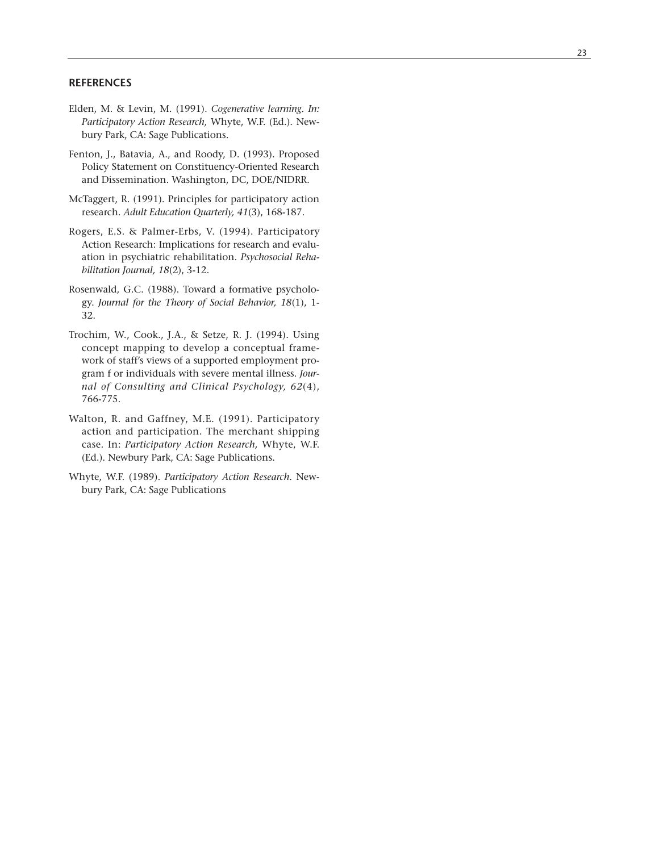## **REFERENCES**

- Elden, M. & Levin, M. (1991). *Cogenerative learning. In: Participatory Action Research,* Whyte, W.F. (Ed.). Newbury Park, CA: Sage Publications.
- Fenton, J., Batavia, A., and Roody, D. (1993). Proposed Policy Statement on Constituency-Oriented Research and Dissemination. Washington, DC, DOE/NIDRR.
- McTaggert, R. (1991). Principles for participatory action research. *Adult Education Quarterly, 41*(3), 168-187.
- Rogers, E.S. & Palmer-Erbs, V. (1994). Participatory Action Research: Implications for research and evaluation in psychiatric rehabilitation. *Psychosocial Rehabilitation Journal, 18*(2), 3-12.
- Rosenwald, G.C. (1988). Toward a formative psychology. *Journal for the Theory of Social Behavior, 18*(1), 1- 32.
- Trochim, W., Cook., J.A., & Setze, R. J. (1994). Using concept mapping to develop a conceptual framework of staff's views of a supported employment program f or individuals with severe mental illness. *Journal of Consulting and Clinical Psychology, 62*(4), 766-775.
- Walton, R. and Gaffney , M.E. (1991). Participator y action and participation. The merchant shipping case. In: *Participatory Action Research,* Whyte, W.F. (Ed.). Newbur y Park, CA: Sage Publications.
- Whyte, W.F. (1989). *Participatory Action Research.* New bury Park, CA: Sage Publications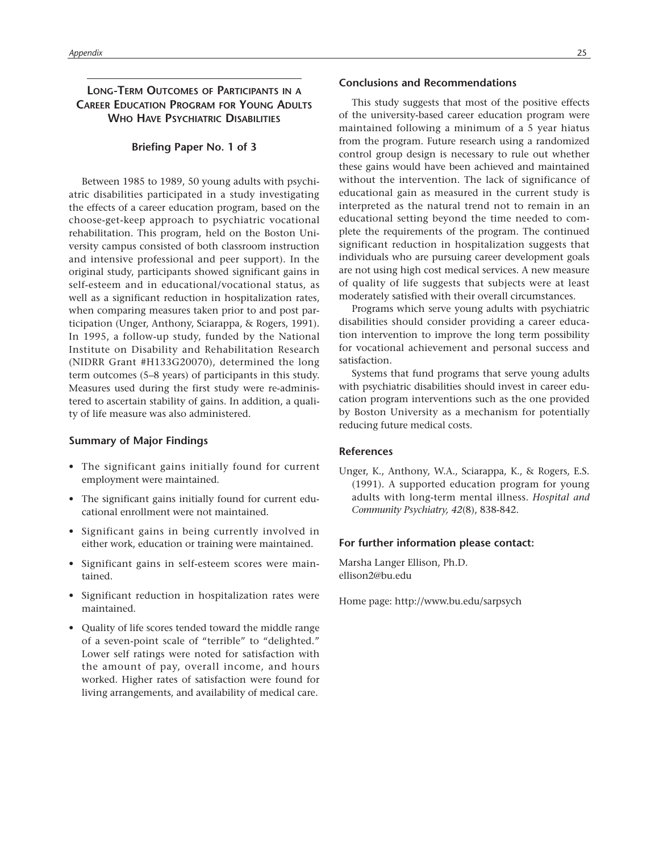# **LONG-TERM OUTCOMES OF PARTICIPANTS IN A CAREER EDUCATION PROGRAM FOR YOUNG ADULTS WHO HAVE PSYCHIATRIC DISABILITIES**

#### **Briefing Paper No. 1 of 3**

Between 1985 to 1989, 50 young adults with psychiatric disabilities participated in a study investigating the effects of a career education program, based on the choose-get-keep approach to psychiatric vocational rehabilitation. This program, held on the Boston University campus consisted of both classroom instruction and intensive professional and peer support). In the original study, participants showed significant gains in self-esteem and in educational/vocational status, as well as a significant reduction in hospitalization rates, when comparing measures taken prior to and post participation (Unger, Anthony, Sciarappa, & Rogers, 1991). In 1995, a follow-up study, funded by the National Institute on Disability and Rehabilitation Research (NIDRR Grant #H133G20070), determined the long term outcomes (5–8 years) of participants in this study. Measures used during the first study were re-administered to ascertain stability of gains. In addition, a quality of life measure was also administered.

#### **Summary of Major Findings**

- The significant gains initially found for current employment were maintained.
- The significant gains initially found for current educational enrollment were not maintained.
- Significant gains in being currently involved in either work, education or training were maintained.
- Significant gains in self-esteem scores were maintained.
- Significant reduction in hospitalization rates were maintained.
- Quality of life scores tended toward the middle range of a seven-point scale of "terrible" to "delighted." Lower self ratings were noted for satisfaction with the amount of pay, overall income, and hours worked. Higher rates of satisfaction were found for living arrangements, and availability of medical care.

This study suggests that most of the positive effects of the university-based career education program were maintained following a minimum of a 5 year hiatus from the program. Future research using a randomized control group design is necessary to rule out whether these gains would have been achieved and maintained without the intervention. The lack of significance of educational gain as measured in the current study is interpreted as the natural trend not to remain in an educational setting beyond the time needed to complete the requirements of the program. The continued significant reduction in hospitalization suggests that individuals who are pursuing career development goals are not using high cost medical services. A new measure of quality of life suggests that subjects were at least moderately satisfied with their overall circumstances.

Programs which serve young adults with psychiatric disabilities should consider providing a career education intervention to improve the long term possibility for vocational achievement and personal success and satisfaction.

Systems that fund programs that serve young adults with psychiatric disabilities should invest in career education program interventions such as the one provided by Boston University as a mechanism for potentially reducing future medical costs.

#### **References**

Unger, K., Anthony, W.A., Sciarappa, K., & Rogers, E.S. (1991). A supported education program for young adults with long-term mental illness. *Hospital and Community Psychiatry, 42*(8), 838-842.

#### **For further information please contact:**

Marsha Langer Ellison, Ph.D. ellison2@bu.edu

Home page: http://www.bu.edu/sarpsych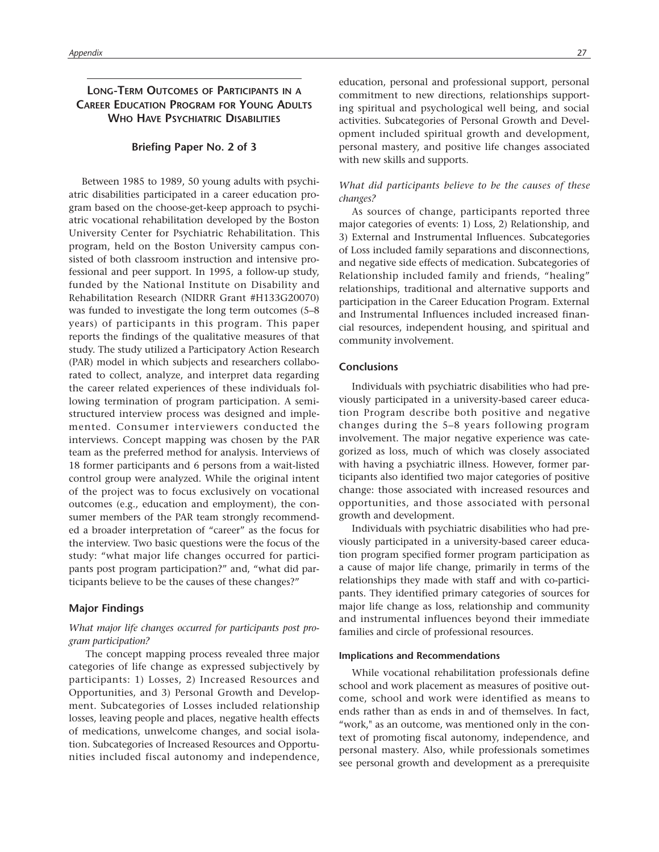# **LONG-TERM OUTCOMES OF PARTICIPANTS IN A CAREER EDUCATION PROGRAM FOR YOUNG ADULTS WHO HAVE PSYCHIATRIC DISABILITIES**

#### **Briefing Paper No. 2 of 3**

Between 1985 to 1989, 50 young adults with psychiatric disabilities participated in a career education program based on the choose-get-keep approach to psychiatric vocational rehabilitation developed by the Boston University Center for Psychiatric Rehabilitation. This program, held on the Boston University campus consisted of both classroom instruction and intensive professional and peer support. In 1995, a follow-up study, funded by the National Institute on Disability and Rehabilitation Research (NIDRR Grant #H133G20070) was funded to investigate the long term outcomes (5–8 years) of participants in this program. This paper reports the findings of the qualitative measures of that study. The study utilized a Participatory Action Research (PAR) model in which subjects and researchers collaborated to collect, analyze, and interpret data regarding the career related experiences of these individuals following termination of program participation. A semistructured interview process was designed and implemented. Consumer interviewers conducted the interviews. Concept mapping was chosen by the PAR team as the preferred method for analysis. Interviews of 18 former participants and 6 persons from a wait-listed control group were analyzed. While the original intent of the project was to focus exclusively on vocational outcomes (e.g., education and employment), the consumer members of the PAR team strongly recommended a broader interpretation of "career" as the focus for the interview. Two basic questions were the focus of the study: "what major life changes occurred for participants post program participation?" and, "what did participants believe to be the causes of these changes?"

## **Major Findings**

## *What major life changes occurred for participants post program participation?*

The concept mapping process revealed three major categories of life change as expressed subjectively by participants: 1) Losses, 2) Increased Resources and Opportunities, and 3) Personal Growth and Development. Subcategories of Losses included relationship losses, leaving people and places, negative health effects of medications, unwelcome changes, and social isolation. Subcategories of Increased Resources and Opportunities included fiscal autonomy and independence, education, personal and professional support, personal commitment to new directions, relationships supporting spiritual and psychological well being, and social activities. Subcategories of Personal Growth and Development included spiritual growth and development, personal mastery, and positive life changes associated with new skills and supports.

#### *What did participants believe to be the causes of these changes?*

As sources of change, participants reported three major categories of events: 1) Loss, 2) Relationship, and 3) External and Instrumental Influences. Subcategories of Loss included family separations and disconnections, and negative side effects of medication. Subcategories of Relationship included family and friends, "healing" relationships, traditional and alternative supports and participation in the Career Education Program. External and Instrumental Influences included increased financial resources, independent housing, and spiritual and community involvement.

#### **Conclusions**

Individuals with psychiatric disabilities who had previously participated in a university-based career education Program describe both positive and negative changes during the 5–8 years following program involvement. The major negative experience was categorized as loss, much of which was closely associated with having a psychiatric illness. However, former participants also identified two major categories of positive change: those associated with increased resources and opportunities, and those associated with personal growth and development.

Individuals with psychiatric disabilities who had previously participated in a university-based career education program specified former program participation as a cause of major life change, primarily in terms of the relationships they made with staff and with co-participants. They identified primary categories of sources for major life change as loss, relationship and community and instrumental influences beyond their immediate families and circle of professional resources.

#### **Implications and Recommendations**

While vocational rehabilitation professionals define school and work placement as measures of positive outcome, school and work were identified as means to ends rather than as ends in and of themselves. In fact, "work," as an outcome, was mentioned only in the context of promoting fiscal autonomy, independence, and personal mastery. Also, while professionals sometimes see personal growth and development as a prerequisite